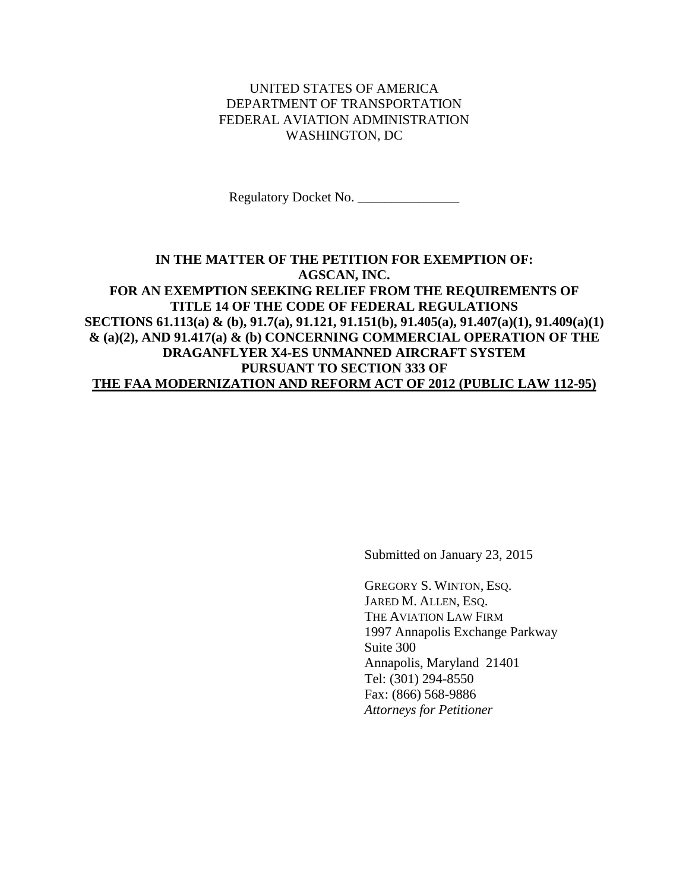## UNITED STATES OF AMERICA DEPARTMENT OF TRANSPORTATION FEDERAL AVIATION ADMINISTRATION WASHINGTON, DC

Regulatory Docket No. \_\_\_\_\_\_\_\_\_\_\_\_\_\_\_

## **IN THE MATTER OF THE PETITION FOR EXEMPTION OF: AGSCAN, INC. FOR AN EXEMPTION SEEKING RELIEF FROM THE REQUIREMENTS OF TITLE 14 OF THE CODE OF FEDERAL REGULATIONS SECTIONS 61.113(a) & (b), 91.7(a), 91.121, 91.151(b), 91.405(a), 91.407(a)(1), 91.409(a)(1) & (a)(2), AND 91.417(a) & (b) CONCERNING COMMERCIAL OPERATION OF THE DRAGANFLYER X4-ES UNMANNED AIRCRAFT SYSTEM PURSUANT TO SECTION 333 OF THE FAA MODERNIZATION AND REFORM ACT OF 2012 (PUBLIC LAW 112-95)**

Submitted on January 23, 2015

GREGORY S. WINTON, ESQ. JARED M. ALLEN, ESQ. THE AVIATION LAW FIRM 1997 Annapolis Exchange Parkway Suite 300 Annapolis, Maryland 21401 Tel: (301) 294-8550 Fax: (866) 568-9886 *Attorneys for Petitioner*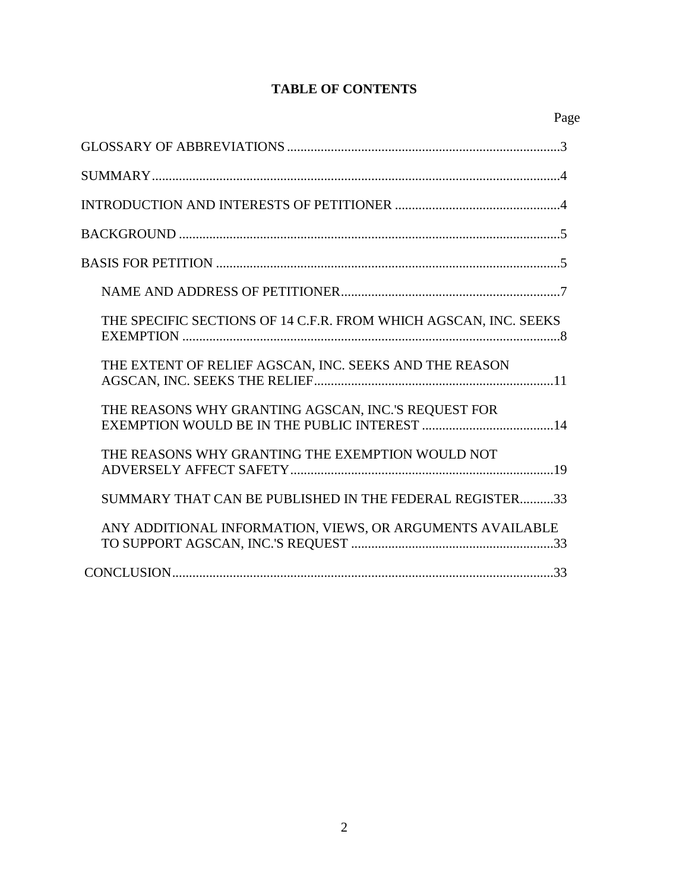# **TABLE OF CONTENTS**

| THE SPECIFIC SECTIONS OF 14 C.F.R. FROM WHICH AGSCAN, INC. SEEKS |
|------------------------------------------------------------------|
| THE EXTENT OF RELIEF AGSCAN, INC. SEEKS AND THE REASON           |
| THE REASONS WHY GRANTING AGSCAN, INC.'S REQUEST FOR              |
| THE REASONS WHY GRANTING THE EXEMPTION WOULD NOT                 |
| SUMMARY THAT CAN BE PUBLISHED IN THE FEDERAL REGISTER33          |
| ANY ADDITIONAL INFORMATION, VIEWS, OR ARGUMENTS AVAILABLE        |
|                                                                  |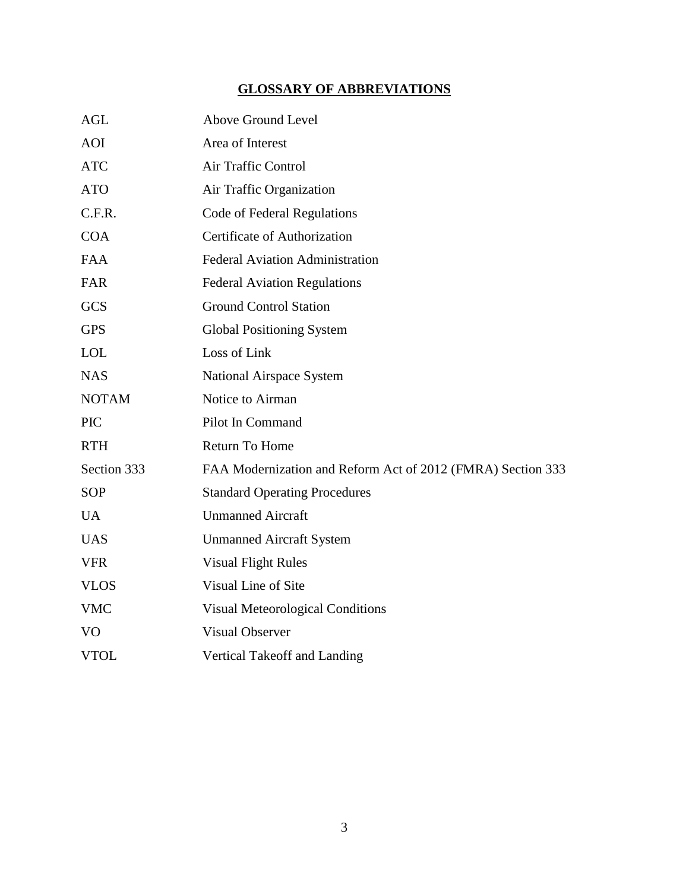# **GLOSSARY OF ABBREVIATIONS**

| <b>AGL</b>     | Above Ground Level                                          |
|----------------|-------------------------------------------------------------|
| <b>AOI</b>     | Area of Interest                                            |
| <b>ATC</b>     | Air Traffic Control                                         |
| <b>ATO</b>     | Air Traffic Organization                                    |
| C.F.R.         | <b>Code of Federal Regulations</b>                          |
| <b>COA</b>     | Certificate of Authorization                                |
| <b>FAA</b>     | <b>Federal Aviation Administration</b>                      |
| FAR            | <b>Federal Aviation Regulations</b>                         |
| <b>GCS</b>     | <b>Ground Control Station</b>                               |
| <b>GPS</b>     | <b>Global Positioning System</b>                            |
| <b>LOL</b>     | Loss of Link                                                |
| <b>NAS</b>     | National Airspace System                                    |
| <b>NOTAM</b>   | Notice to Airman                                            |
| <b>PIC</b>     | Pilot In Command                                            |
| <b>RTH</b>     | Return To Home                                              |
| Section 333    | FAA Modernization and Reform Act of 2012 (FMRA) Section 333 |
| <b>SOP</b>     | <b>Standard Operating Procedures</b>                        |
| <b>UA</b>      | <b>Unmanned Aircraft</b>                                    |
| <b>UAS</b>     | <b>Unmanned Aircraft System</b>                             |
| <b>VFR</b>     | <b>Visual Flight Rules</b>                                  |
| <b>VLOS</b>    | Visual Line of Site                                         |
| <b>VMC</b>     | <b>Visual Meteorological Conditions</b>                     |
| V <sub>O</sub> | <b>Visual Observer</b>                                      |
| <b>VTOL</b>    | Vertical Takeoff and Landing                                |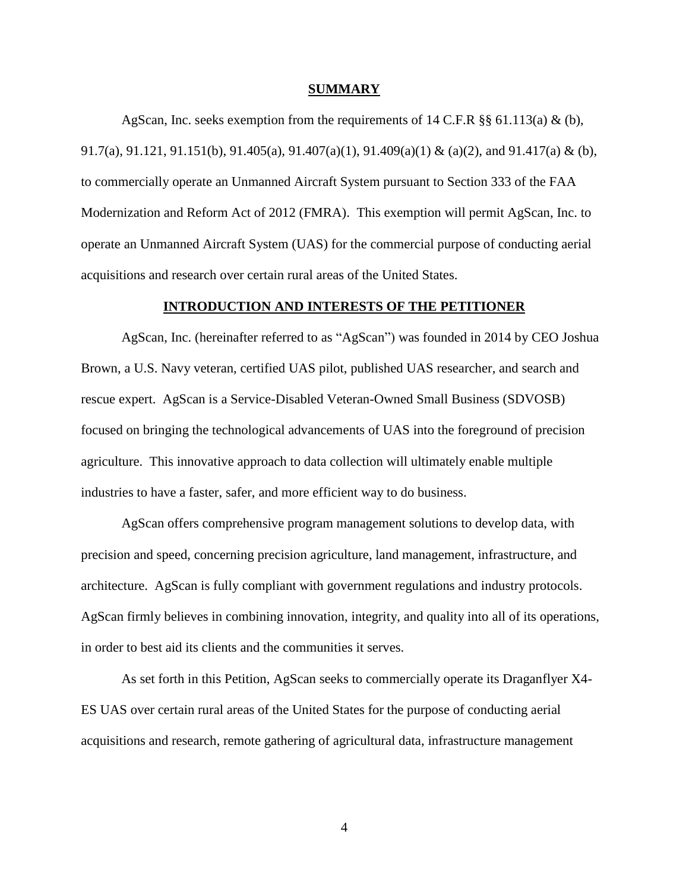#### **SUMMARY**

AgScan, Inc. seeks exemption from the requirements of 14 C.F.R §§ 61.113(a) & (b), 91.7(a), 91.121, 91.151(b), 91.405(a), 91.407(a)(1), 91.409(a)(1) & (a)(2), and 91.417(a) & (b), to commercially operate an Unmanned Aircraft System pursuant to Section 333 of the FAA Modernization and Reform Act of 2012 (FMRA). This exemption will permit AgScan, Inc. to operate an Unmanned Aircraft System (UAS) for the commercial purpose of conducting aerial acquisitions and research over certain rural areas of the United States.

### **INTRODUCTION AND INTERESTS OF THE PETITIONER**

AgScan, Inc. (hereinafter referred to as "AgScan") was founded in 2014 by CEO Joshua Brown, a U.S. Navy veteran, certified UAS pilot, published UAS researcher, and search and rescue expert. AgScan is a Service-Disabled Veteran-Owned Small Business (SDVOSB) focused on bringing the technological advancements of UAS into the foreground of precision agriculture. This innovative approach to data collection will ultimately enable multiple industries to have a faster, safer, and more efficient way to do business.

AgScan offers comprehensive program management solutions to develop data, with precision and speed, concerning precision agriculture, land management, infrastructure, and architecture. AgScan is fully compliant with government regulations and industry protocols. AgScan firmly believes in combining innovation, integrity, and quality into all of its operations, in order to best aid its clients and the communities it serves.

As set forth in this Petition, AgScan seeks to commercially operate its Draganflyer X4- ES UAS over certain rural areas of the United States for the purpose of conducting aerial acquisitions and research, remote gathering of agricultural data, infrastructure management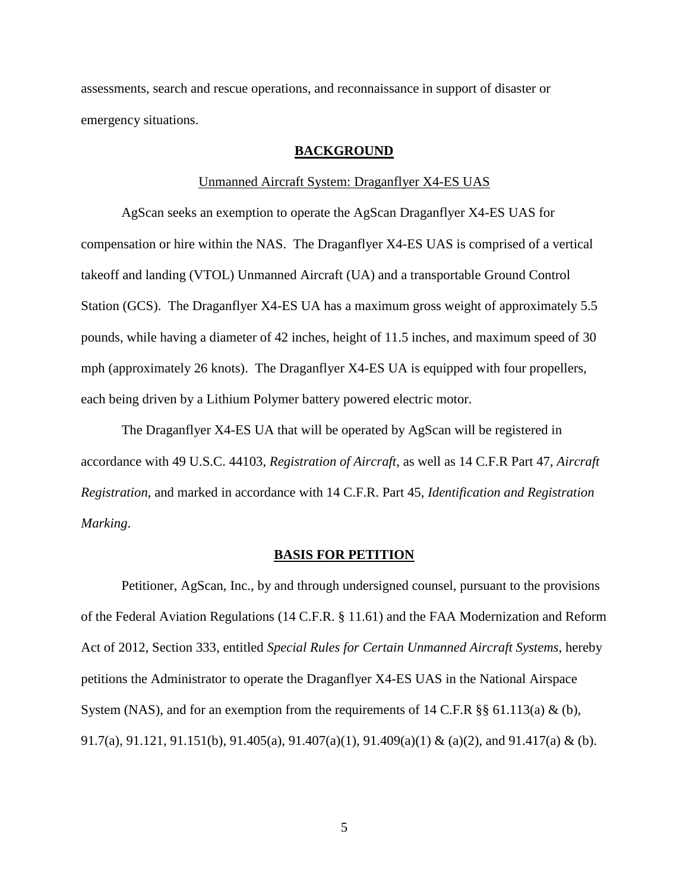assessments, search and rescue operations, and reconnaissance in support of disaster or emergency situations.

### **BACKGROUND**

#### Unmanned Aircraft System: Draganflyer X4-ES UAS

AgScan seeks an exemption to operate the AgScan Draganflyer X4-ES UAS for compensation or hire within the NAS. The Draganflyer X4-ES UAS is comprised of a vertical takeoff and landing (VTOL) Unmanned Aircraft (UA) and a transportable Ground Control Station (GCS). The Draganflyer X4-ES UA has a maximum gross weight of approximately 5.5 pounds, while having a diameter of 42 inches, height of 11.5 inches, and maximum speed of 30 mph (approximately 26 knots). The Draganflyer X4-ES UA is equipped with four propellers, each being driven by a Lithium Polymer battery powered electric motor.

The Draganflyer X4-ES UA that will be operated by AgScan will be registered in accordance with 49 U.S.C. 44103, *Registration of Aircraft*, as well as 14 C.F.R Part 47, *Aircraft Registration*, and marked in accordance with 14 C.F.R. Part 45, *Identification and Registration Marking*.

#### **BASIS FOR PETITION**

Petitioner, AgScan, Inc., by and through undersigned counsel, pursuant to the provisions of the Federal Aviation Regulations (14 C.F.R. § 11.61) and the FAA Modernization and Reform Act of 2012, Section 333, entitled *Special Rules for Certain Unmanned Aircraft Systems*, hereby petitions the Administrator to operate the Draganflyer X4-ES UAS in the National Airspace System (NAS), and for an exemption from the requirements of 14 C.F.R §§ 61.113(a) & (b), 91.7(a), 91.121, 91.151(b), 91.405(a), 91.407(a)(1), 91.409(a)(1) & (a)(2), and 91.417(a) & (b).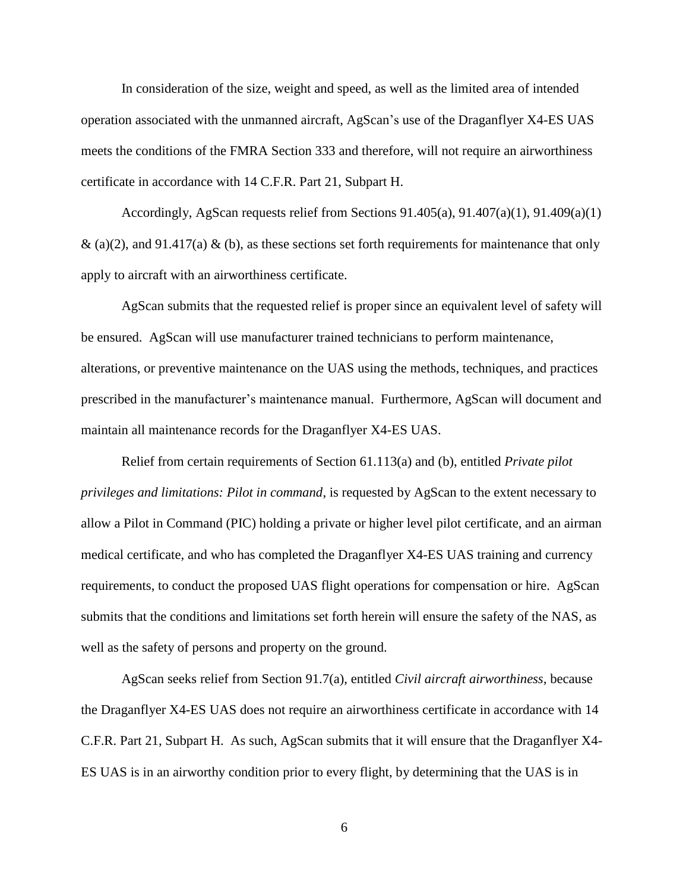In consideration of the size, weight and speed, as well as the limited area of intended operation associated with the unmanned aircraft, AgScan's use of the Draganflyer X4-ES UAS meets the conditions of the FMRA Section 333 and therefore, will not require an airworthiness certificate in accordance with 14 C.F.R. Part 21, Subpart H.

Accordingly, AgScan requests relief from Sections  $91.405(a)$ ,  $91.407(a)(1)$ ,  $91.409(a)(1)$ & (a)(2), and 91.417(a) & (b), as these sections set forth requirements for maintenance that only apply to aircraft with an airworthiness certificate.

AgScan submits that the requested relief is proper since an equivalent level of safety will be ensured. AgScan will use manufacturer trained technicians to perform maintenance, alterations, or preventive maintenance on the UAS using the methods, techniques, and practices prescribed in the manufacturer's maintenance manual. Furthermore, AgScan will document and maintain all maintenance records for the Draganflyer X4-ES UAS.

Relief from certain requirements of Section 61.113(a) and (b), entitled *Private pilot privileges and limitations: Pilot in command*, is requested by AgScan to the extent necessary to allow a Pilot in Command (PIC) holding a private or higher level pilot certificate, and an airman medical certificate, and who has completed the Draganflyer X4-ES UAS training and currency requirements, to conduct the proposed UAS flight operations for compensation or hire. AgScan submits that the conditions and limitations set forth herein will ensure the safety of the NAS, as well as the safety of persons and property on the ground.

AgScan seeks relief from Section 91.7(a), entitled *Civil aircraft airworthiness,* because the Draganflyer X4-ES UAS does not require an airworthiness certificate in accordance with 14 C.F.R. Part 21, Subpart H. As such, AgScan submits that it will ensure that the Draganflyer X4- ES UAS is in an airworthy condition prior to every flight, by determining that the UAS is in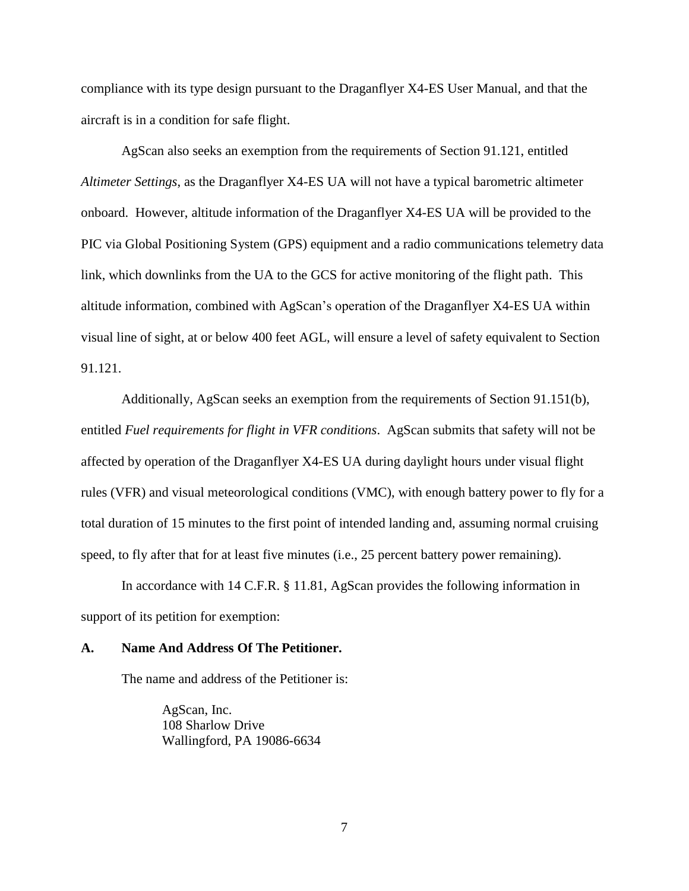compliance with its type design pursuant to the Draganflyer X4-ES User Manual, and that the aircraft is in a condition for safe flight.

 AgScan also seeks an exemption from the requirements of Section 91.121, entitled *Altimeter Settings*, as the Draganflyer X4-ES UA will not have a typical barometric altimeter onboard. However, altitude information of the Draganflyer X4-ES UA will be provided to the PIC via Global Positioning System (GPS) equipment and a radio communications telemetry data link, which downlinks from the UA to the GCS for active monitoring of the flight path. This altitude information, combined with AgScan's operation of the Draganflyer X4-ES UA within visual line of sight, at or below 400 feet AGL, will ensure a level of safety equivalent to Section 91.121.

Additionally, AgScan seeks an exemption from the requirements of Section 91.151(b), entitled *Fuel requirements for flight in VFR conditions*. AgScan submits that safety will not be affected by operation of the Draganflyer X4-ES UA during daylight hours under visual flight rules (VFR) and visual meteorological conditions (VMC), with enough battery power to fly for a total duration of 15 minutes to the first point of intended landing and, assuming normal cruising speed, to fly after that for at least five minutes (i.e., 25 percent battery power remaining).

In accordance with 14 C.F.R. § 11.81, AgScan provides the following information in support of its petition for exemption:

#### **A. Name And Address Of The Petitioner.**

The name and address of the Petitioner is:

AgScan, Inc. 108 Sharlow Drive Wallingford, PA 19086-6634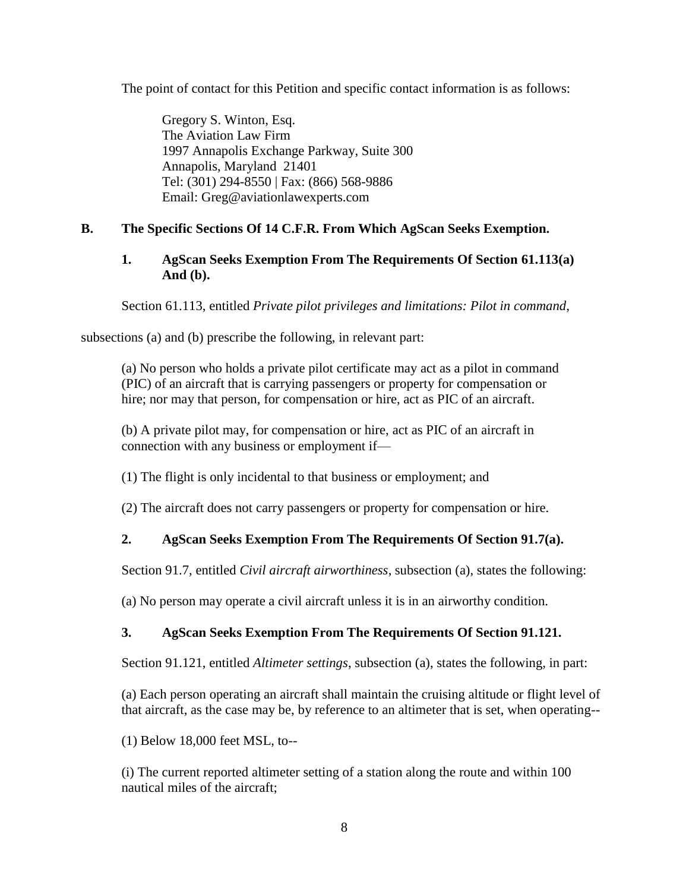The point of contact for this Petition and specific contact information is as follows:

Gregory S. Winton, Esq. The Aviation Law Firm 1997 Annapolis Exchange Parkway, Suite 300 Annapolis, Maryland 21401 Tel: (301) 294-8550 | Fax: (866) 568-9886 Email: Greg@aviationlawexperts.com

## **B. The Specific Sections Of 14 C.F.R. From Which AgScan Seeks Exemption.**

## **1. AgScan Seeks Exemption From The Requirements Of Section 61.113(a) And (b).**

Section 61.113, entitled *Private pilot privileges and limitations: Pilot in command*,

subsections (a) and (b) prescribe the following, in relevant part:

(a) No person who holds a private pilot certificate may act as a pilot in command (PIC) of an aircraft that is carrying passengers or property for compensation or hire; nor may that person, for compensation or hire, act as PIC of an aircraft.

(b) A private pilot may, for compensation or hire, act as PIC of an aircraft in connection with any business or employment if—

(1) The flight is only incidental to that business or employment; and

(2) The aircraft does not carry passengers or property for compensation or hire.

# **2. AgScan Seeks Exemption From The Requirements Of Section 91.7(a).**

Section 91.7, entitled *Civil aircraft airworthiness*, subsection (a), states the following:

(a) No person may operate a civil aircraft unless it is in an airworthy condition.

# **3. AgScan Seeks Exemption From The Requirements Of Section 91.121.**

Section 91.121, entitled *Altimeter settings*, subsection (a), states the following, in part:

(a) Each person operating an aircraft shall maintain the cruising altitude or flight level of that aircraft, as the case may be, by reference to an altimeter that is set, when operating--

(1) Below 18,000 feet MSL, to--

(i) The current reported altimeter setting of a station along the route and within 100 nautical miles of the aircraft;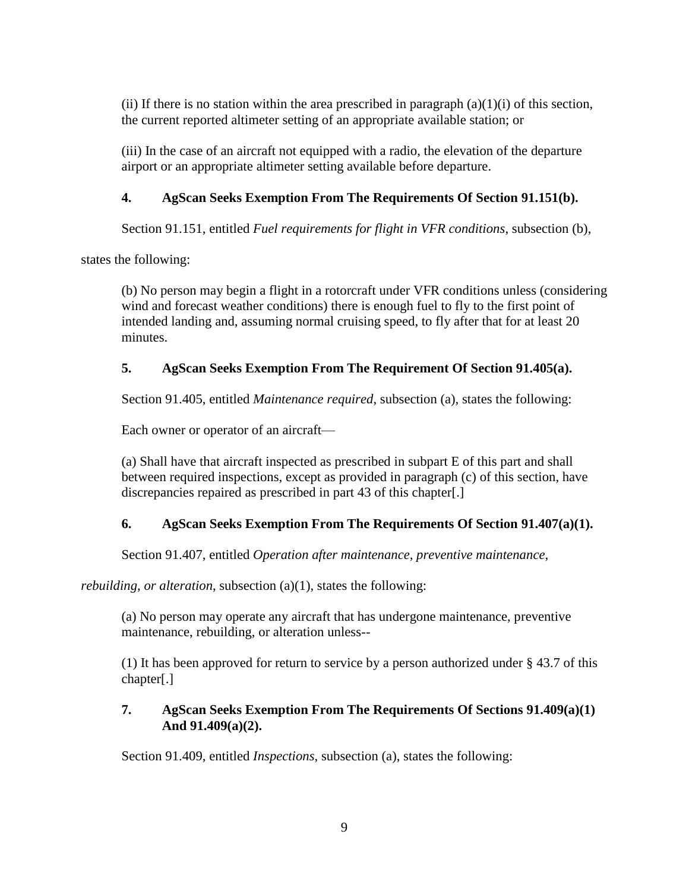(ii) If there is no station within the area prescribed in paragraph  $(a)(1)(i)$  of this section, the current reported altimeter setting of an appropriate available station; or

(iii) In the case of an aircraft not equipped with a radio, the elevation of the departure airport or an appropriate altimeter setting available before departure.

# **4. AgScan Seeks Exemption From The Requirements Of Section 91.151(b).**

Section 91.151, entitled *Fuel requirements for flight in VFR conditions*, subsection (b),

states the following:

(b) No person may begin a flight in a rotorcraft under VFR conditions unless (considering wind and forecast weather conditions) there is enough fuel to fly to the first point of intended landing and, assuming normal cruising speed, to fly after that for at least 20 minutes.

# **5. AgScan Seeks Exemption From The Requirement Of Section 91.405(a).**

Section 91.405, entitled *Maintenance required*, subsection (a), states the following:

Each owner or operator of an aircraft—

(a) Shall have that aircraft inspected as prescribed in subpart E of this part and shall between required inspections, except as provided in paragraph (c) of this section, have discrepancies repaired as prescribed in part 43 of this chapter[.]

# **6. AgScan Seeks Exemption From The Requirements Of Section 91.407(a)(1).**

Section 91.407, entitled *Operation after maintenance, preventive maintenance,* 

*rebuilding, or alteration, subsection (a)(1), states the following:* 

(a) No person may operate any aircraft that has undergone maintenance, preventive maintenance, rebuilding, or alteration unless--

(1) It has been approved for return to service by a person authorized under § 43.7 of this chapter[.]

## **7. AgScan Seeks Exemption From The Requirements Of Sections 91.409(a)(1) And 91.409(a)(2).**

Section 91.409, entitled *Inspections*, subsection (a), states the following: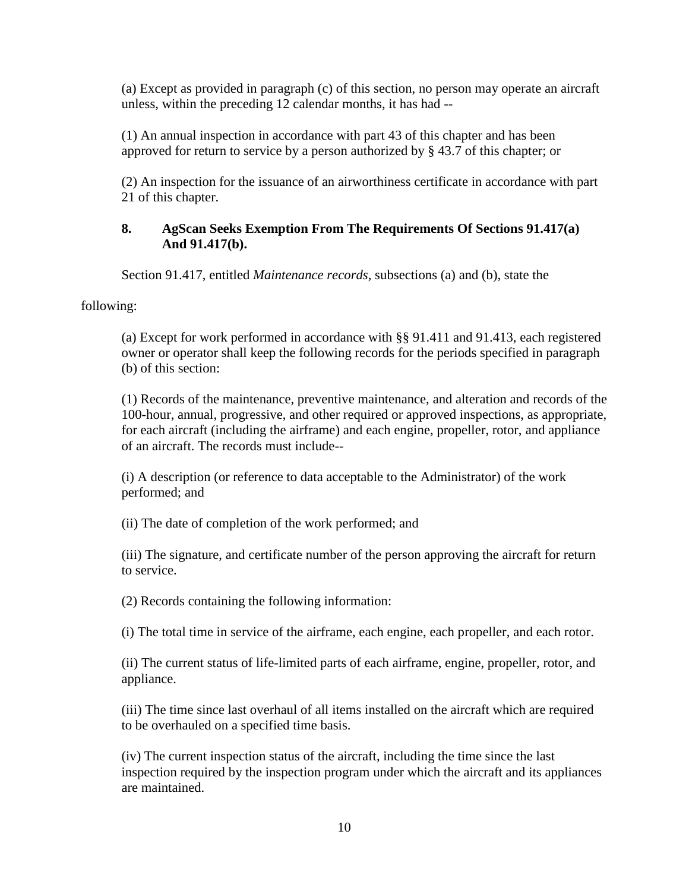(a) Except as provided in paragraph (c) of this section, no person may operate an aircraft unless, within the preceding 12 calendar months, it has had --

(1) An annual inspection in accordance with part 43 of this chapter and has been approved for return to service by a person authorized by § 43.7 of this chapter; or

(2) An inspection for the issuance of an airworthiness certificate in accordance with part 21 of this chapter.

## **8. AgScan Seeks Exemption From The Requirements Of Sections 91.417(a) And 91.417(b).**

Section 91.417, entitled *Maintenance records*, subsections (a) and (b), state the

following:

(a) Except for work performed in accordance with §§ 91.411 and 91.413, each registered owner or operator shall keep the following records for the periods specified in paragraph (b) of this section:

(1) Records of the maintenance, preventive maintenance, and alteration and records of the 100-hour, annual, progressive, and other required or approved inspections, as appropriate, for each aircraft (including the airframe) and each engine, propeller, rotor, and appliance of an aircraft. The records must include--

(i) A description (or reference to data acceptable to the Administrator) of the work performed; and

(ii) The date of completion of the work performed; and

(iii) The signature, and certificate number of the person approving the aircraft for return to service.

(2) Records containing the following information:

(i) The total time in service of the airframe, each engine, each propeller, and each rotor.

(ii) The current status of life-limited parts of each airframe, engine, propeller, rotor, and appliance.

(iii) The time since last overhaul of all items installed on the aircraft which are required to be overhauled on a specified time basis.

(iv) The current inspection status of the aircraft, including the time since the last inspection required by the inspection program under which the aircraft and its appliances are maintained.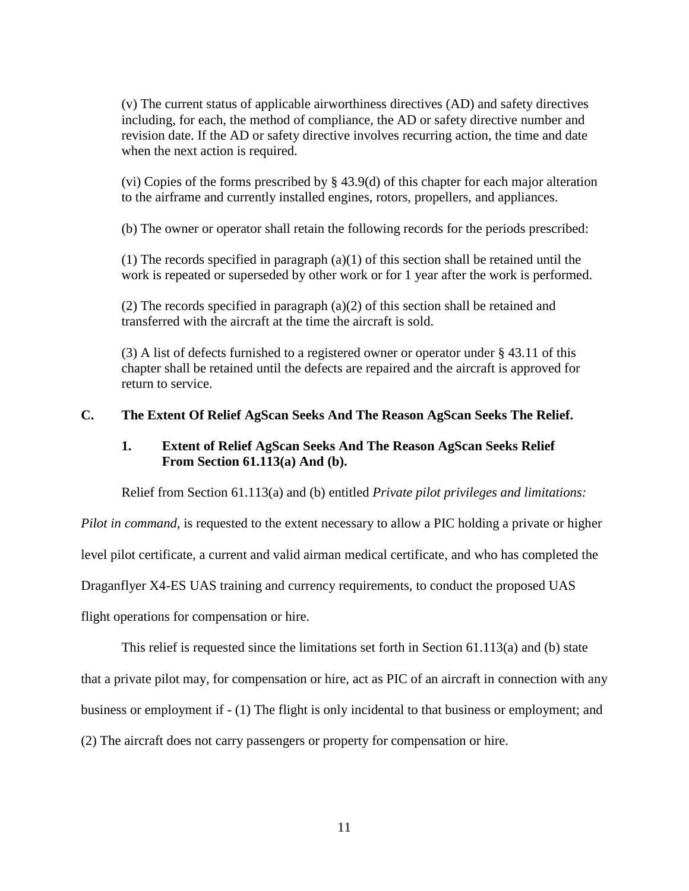(v) The current status of applicable airworthiness directives (AD) and safety directives including, for each, the method of compliance, the AD or safety directive number and revision date. If the AD or safety directive involves recurring action, the time and date when the next action is required.

(vi) Copies of the forms prescribed by § 43.9(d) of this chapter for each major alteration to the airframe and currently installed engines, rotors, propellers, and appliances.

(b) The owner or operator shall retain the following records for the periods prescribed:

(1) The records specified in paragraph (a)(1) of this section shall be retained until the work is repeated or superseded by other work or for 1 year after the work is performed.

(2) The records specified in paragraph (a)(2) of this section shall be retained and transferred with the aircraft at the time the aircraft is sold.

(3) A list of defects furnished to a registered owner or operator under § 43.11 of this chapter shall be retained until the defects are repaired and the aircraft is approved for return to service.

## **C. The Extent Of Relief AgScan Seeks And The Reason AgScan Seeks The Relief.**

## **1. Extent of Relief AgScan Seeks And The Reason AgScan Seeks Relief From Section 61.113(a) And (b).**

Relief from Section 61.113(a) and (b) entitled *Private pilot privileges and limitations:* 

*Pilot in command*, is requested to the extent necessary to allow a PIC holding a private or higher

level pilot certificate, a current and valid airman medical certificate, and who has completed the

Draganflyer X4-ES UAS training and currency requirements, to conduct the proposed UAS

flight operations for compensation or hire.

This relief is requested since the limitations set forth in Section 61.113(a) and (b) state

that a private pilot may, for compensation or hire, act as PIC of an aircraft in connection with any

business or employment if - (1) The flight is only incidental to that business or employment; and

(2) The aircraft does not carry passengers or property for compensation or hire.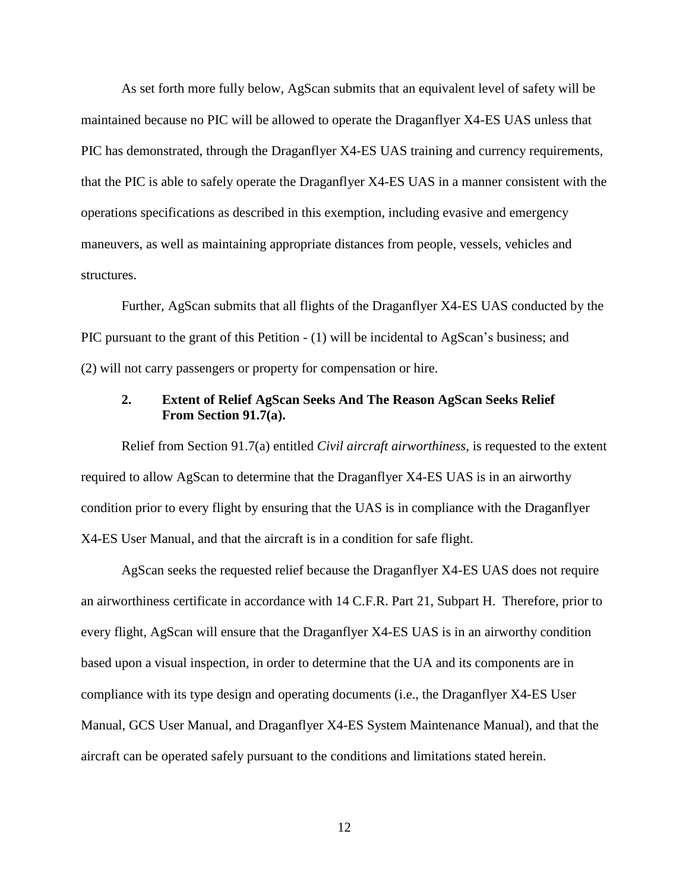As set forth more fully below, AgScan submits that an equivalent level of safety will be maintained because no PIC will be allowed to operate the Draganflyer X4-ES UAS unless that PIC has demonstrated, through the Draganflyer X4-ES UAS training and currency requirements, that the PIC is able to safely operate the Draganflyer X4-ES UAS in a manner consistent with the operations specifications as described in this exemption, including evasive and emergency maneuvers, as well as maintaining appropriate distances from people, vessels, vehicles and structures.

Further, AgScan submits that all flights of the Draganflyer X4-ES UAS conducted by the PIC pursuant to the grant of this Petition - (1) will be incidental to AgScan's business; and (2) will not carry passengers or property for compensation or hire.

## **2. Extent of Relief AgScan Seeks And The Reason AgScan Seeks Relief From Section 91.7(a).**

Relief from Section 91.7(a) entitled *Civil aircraft airworthiness*, is requested to the extent required to allow AgScan to determine that the Draganflyer X4-ES UAS is in an airworthy condition prior to every flight by ensuring that the UAS is in compliance with the Draganflyer X4-ES User Manual, and that the aircraft is in a condition for safe flight.

AgScan seeks the requested relief because the Draganflyer X4-ES UAS does not require an airworthiness certificate in accordance with 14 C.F.R. Part 21, Subpart H. Therefore, prior to every flight, AgScan will ensure that the Draganflyer X4-ES UAS is in an airworthy condition based upon a visual inspection, in order to determine that the UA and its components are in compliance with its type design and operating documents (i.e., the Draganflyer X4-ES User Manual, GCS User Manual, and Draganflyer X4-ES System Maintenance Manual), and that the aircraft can be operated safely pursuant to the conditions and limitations stated herein.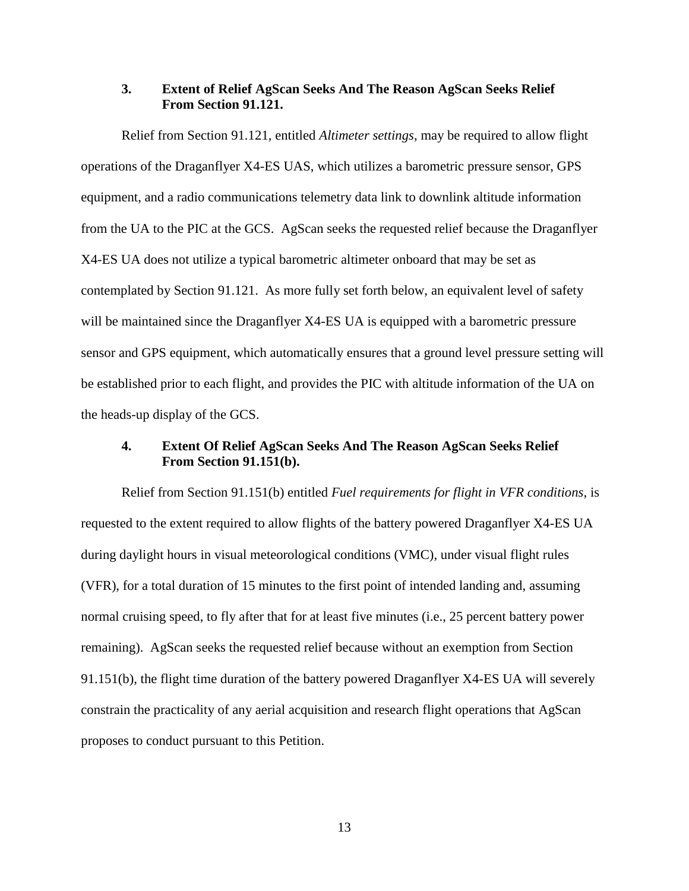### **3. Extent of Relief AgScan Seeks And The Reason AgScan Seeks Relief From Section 91.121.**

Relief from Section 91.121, entitled *Altimeter settings*, may be required to allow flight operations of the Draganflyer X4-ES UAS, which utilizes a barometric pressure sensor, GPS equipment, and a radio communications telemetry data link to downlink altitude information from the UA to the PIC at the GCS. AgScan seeks the requested relief because the Draganflyer X4-ES UA does not utilize a typical barometric altimeter onboard that may be set as contemplated by Section 91.121. As more fully set forth below, an equivalent level of safety will be maintained since the Draganflyer X4-ES UA is equipped with a barometric pressure sensor and GPS equipment, which automatically ensures that a ground level pressure setting will be established prior to each flight, and provides the PIC with altitude information of the UA on the heads-up display of the GCS.

## **4. Extent Of Relief AgScan Seeks And The Reason AgScan Seeks Relief From Section 91.151(b).**

Relief from Section 91.151(b) entitled *Fuel requirements for flight in VFR conditions*, is requested to the extent required to allow flights of the battery powered Draganflyer X4-ES UA during daylight hours in visual meteorological conditions (VMC), under visual flight rules (VFR), for a total duration of 15 minutes to the first point of intended landing and, assuming normal cruising speed, to fly after that for at least five minutes (i.e., 25 percent battery power remaining). AgScan seeks the requested relief because without an exemption from Section 91.151(b), the flight time duration of the battery powered Draganflyer X4-ES UA will severely constrain the practicality of any aerial acquisition and research flight operations that AgScan proposes to conduct pursuant to this Petition.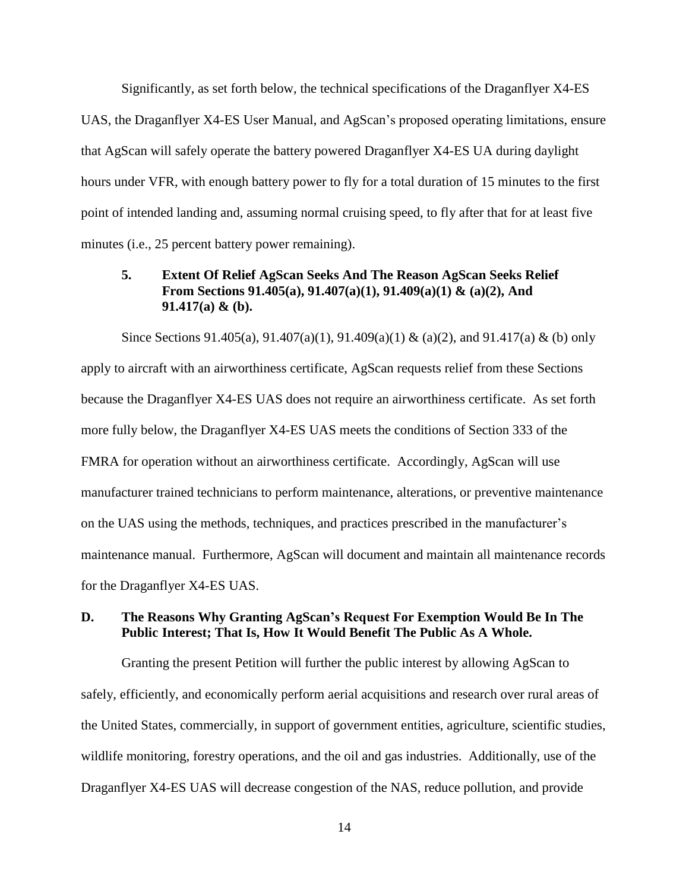Significantly, as set forth below, the technical specifications of the Draganflyer X4-ES UAS, the Draganflyer X4-ES User Manual, and AgScan's proposed operating limitations, ensure that AgScan will safely operate the battery powered Draganflyer X4-ES UA during daylight hours under VFR, with enough battery power to fly for a total duration of 15 minutes to the first point of intended landing and, assuming normal cruising speed, to fly after that for at least five minutes (i.e., 25 percent battery power remaining).

## **5. Extent Of Relief AgScan Seeks And The Reason AgScan Seeks Relief From Sections 91.405(a), 91.407(a)(1), 91.409(a)(1) & (a)(2), And 91.417(a) & (b).**

Since Sections 91.405(a), 91.407(a)(1), 91.409(a)(1) & (a)(2), and 91.417(a) & (b) only apply to aircraft with an airworthiness certificate, AgScan requests relief from these Sections because the Draganflyer X4-ES UAS does not require an airworthiness certificate. As set forth more fully below, the Draganflyer X4-ES UAS meets the conditions of Section 333 of the FMRA for operation without an airworthiness certificate. Accordingly, AgScan will use manufacturer trained technicians to perform maintenance, alterations, or preventive maintenance on the UAS using the methods, techniques, and practices prescribed in the manufacturer's maintenance manual. Furthermore, AgScan will document and maintain all maintenance records for the Draganflyer X4-ES UAS.

## **D. The Reasons Why Granting AgScan's Request For Exemption Would Be In The Public Interest; That Is, How It Would Benefit The Public As A Whole.**

Granting the present Petition will further the public interest by allowing AgScan to safely, efficiently, and economically perform aerial acquisitions and research over rural areas of the United States, commercially, in support of government entities, agriculture, scientific studies, wildlife monitoring, forestry operations, and the oil and gas industries. Additionally, use of the Draganflyer X4-ES UAS will decrease congestion of the NAS, reduce pollution, and provide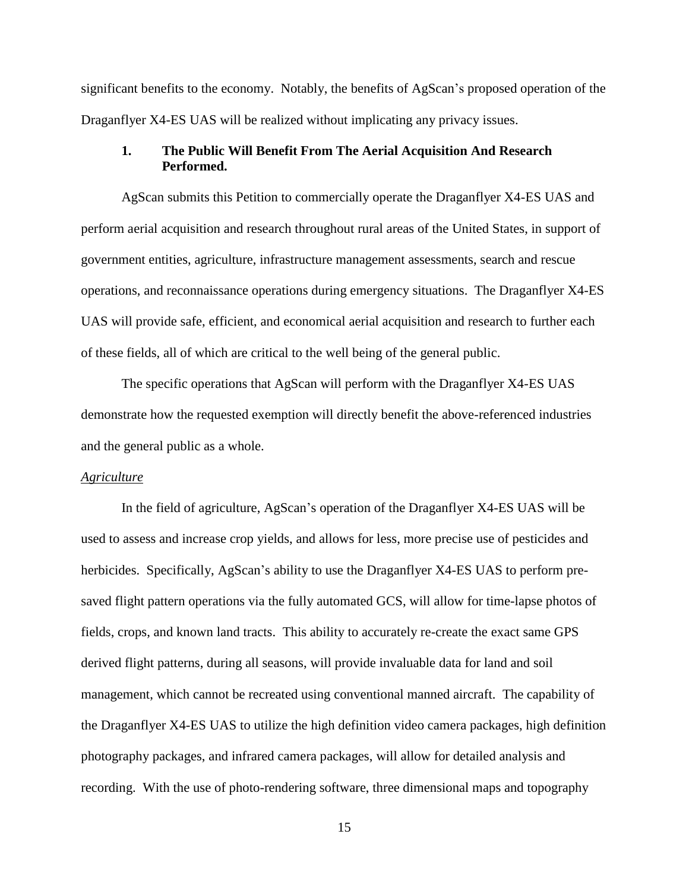significant benefits to the economy. Notably, the benefits of AgScan's proposed operation of the Draganflyer X4-ES UAS will be realized without implicating any privacy issues.

## **1. The Public Will Benefit From The Aerial Acquisition And Research Performed.**

AgScan submits this Petition to commercially operate the Draganflyer X4-ES UAS and perform aerial acquisition and research throughout rural areas of the United States, in support of government entities, agriculture, infrastructure management assessments, search and rescue operations, and reconnaissance operations during emergency situations. The Draganflyer X4-ES UAS will provide safe, efficient, and economical aerial acquisition and research to further each of these fields, all of which are critical to the well being of the general public.

The specific operations that AgScan will perform with the Draganflyer X4-ES UAS demonstrate how the requested exemption will directly benefit the above-referenced industries and the general public as a whole.

### *Agriculture*

In the field of agriculture, AgScan's operation of the Draganflyer X4-ES UAS will be used to assess and increase crop yields, and allows for less, more precise use of pesticides and herbicides. Specifically, AgScan's ability to use the Draganflyer X4-ES UAS to perform presaved flight pattern operations via the fully automated GCS, will allow for time-lapse photos of fields, crops, and known land tracts. This ability to accurately re-create the exact same GPS derived flight patterns, during all seasons, will provide invaluable data for land and soil management, which cannot be recreated using conventional manned aircraft. The capability of the Draganflyer X4-ES UAS to utilize the high definition video camera packages, high definition photography packages, and infrared camera packages, will allow for detailed analysis and recording. With the use of photo-rendering software, three dimensional maps and topography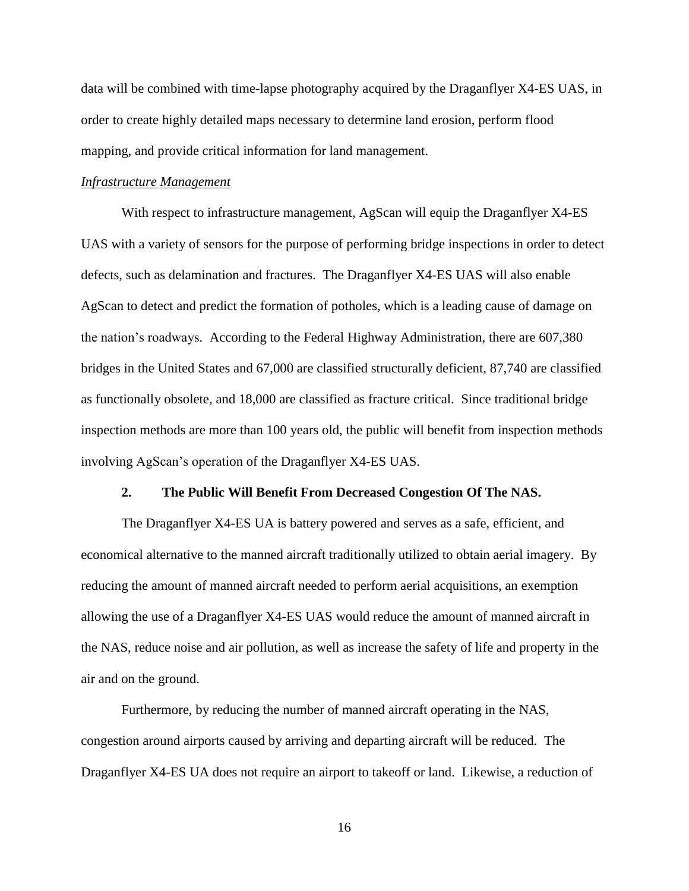data will be combined with time-lapse photography acquired by the Draganflyer X4-ES UAS, in order to create highly detailed maps necessary to determine land erosion, perform flood mapping, and provide critical information for land management.

### *Infrastructure Management*

With respect to infrastructure management, AgScan will equip the Draganflyer X4-ES UAS with a variety of sensors for the purpose of performing bridge inspections in order to detect defects, such as delamination and fractures. The Draganflyer X4-ES UAS will also enable AgScan to detect and predict the formation of potholes, which is a leading cause of damage on the nation's roadways. According to the Federal Highway Administration, there are 607,380 bridges in the United States and 67,000 are classified structurally deficient, 87,740 are classified as functionally obsolete, and 18,000 are classified as fracture critical. Since traditional bridge inspection methods are more than 100 years old, the public will benefit from inspection methods involving AgScan's operation of the Draganflyer X4-ES UAS.

### **2. The Public Will Benefit From Decreased Congestion Of The NAS.**

The Draganflyer X4-ES UA is battery powered and serves as a safe, efficient, and economical alternative to the manned aircraft traditionally utilized to obtain aerial imagery. By reducing the amount of manned aircraft needed to perform aerial acquisitions, an exemption allowing the use of a Draganflyer X4-ES UAS would reduce the amount of manned aircraft in the NAS, reduce noise and air pollution, as well as increase the safety of life and property in the air and on the ground.

Furthermore, by reducing the number of manned aircraft operating in the NAS, congestion around airports caused by arriving and departing aircraft will be reduced. The Draganflyer X4-ES UA does not require an airport to takeoff or land. Likewise, a reduction of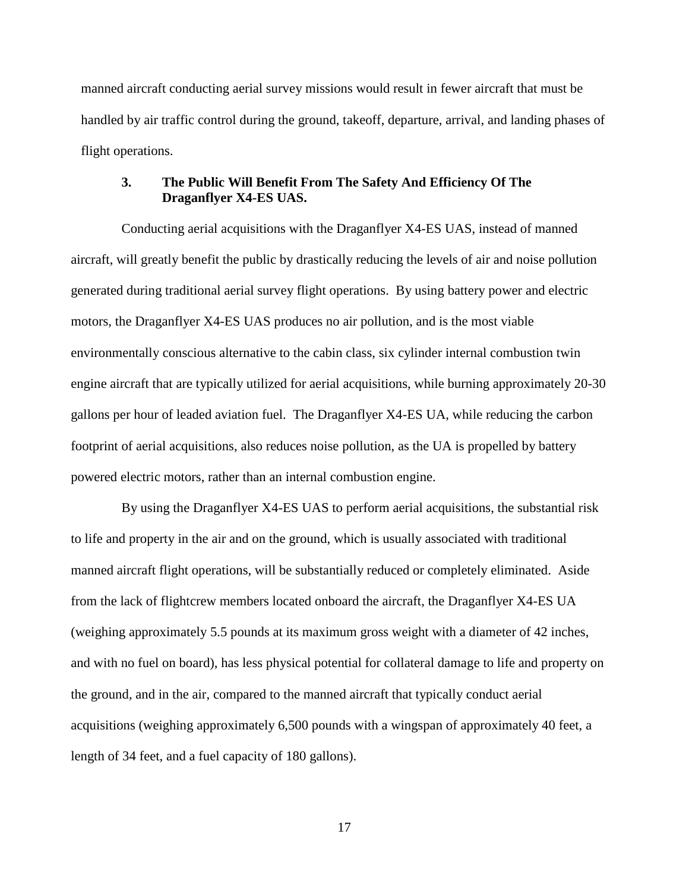manned aircraft conducting aerial survey missions would result in fewer aircraft that must be handled by air traffic control during the ground, takeoff, departure, arrival, and landing phases of flight operations.

## **3. The Public Will Benefit From The Safety And Efficiency Of The Draganflyer X4-ES UAS.**

Conducting aerial acquisitions with the Draganflyer X4-ES UAS, instead of manned aircraft, will greatly benefit the public by drastically reducing the levels of air and noise pollution generated during traditional aerial survey flight operations. By using battery power and electric motors, the Draganflyer X4-ES UAS produces no air pollution, and is the most viable environmentally conscious alternative to the cabin class, six cylinder internal combustion twin engine aircraft that are typically utilized for aerial acquisitions, while burning approximately 20-30 gallons per hour of leaded aviation fuel. The Draganflyer X4-ES UA, while reducing the carbon footprint of aerial acquisitions, also reduces noise pollution, as the UA is propelled by battery powered electric motors, rather than an internal combustion engine.

By using the Draganflyer X4-ES UAS to perform aerial acquisitions, the substantial risk to life and property in the air and on the ground, which is usually associated with traditional manned aircraft flight operations, will be substantially reduced or completely eliminated. Aside from the lack of flightcrew members located onboard the aircraft, the Draganflyer X4-ES UA (weighing approximately 5.5 pounds at its maximum gross weight with a diameter of 42 inches, and with no fuel on board), has less physical potential for collateral damage to life and property on the ground, and in the air, compared to the manned aircraft that typically conduct aerial acquisitions (weighing approximately 6,500 pounds with a wingspan of approximately 40 feet, a length of 34 feet, and a fuel capacity of 180 gallons).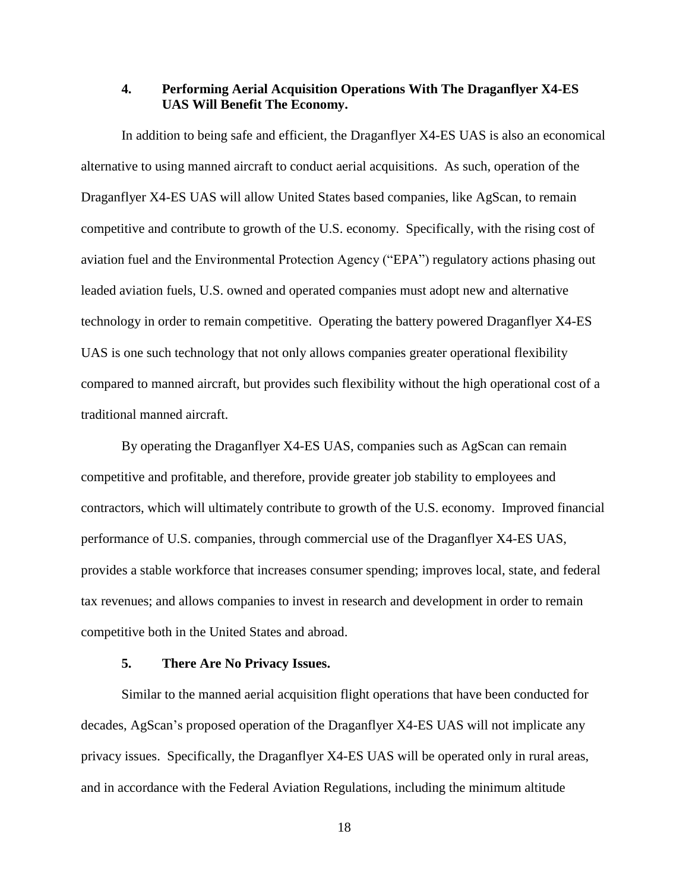## **4. Performing Aerial Acquisition Operations With The Draganflyer X4-ES UAS Will Benefit The Economy.**

In addition to being safe and efficient, the Draganflyer X4-ES UAS is also an economical alternative to using manned aircraft to conduct aerial acquisitions. As such, operation of the Draganflyer X4-ES UAS will allow United States based companies, like AgScan, to remain competitive and contribute to growth of the U.S. economy. Specifically, with the rising cost of aviation fuel and the Environmental Protection Agency ("EPA") regulatory actions phasing out leaded aviation fuels, U.S. owned and operated companies must adopt new and alternative technology in order to remain competitive. Operating the battery powered Draganflyer X4-ES UAS is one such technology that not only allows companies greater operational flexibility compared to manned aircraft, but provides such flexibility without the high operational cost of a traditional manned aircraft.

By operating the Draganflyer X4-ES UAS, companies such as AgScan can remain competitive and profitable, and therefore, provide greater job stability to employees and contractors, which will ultimately contribute to growth of the U.S. economy. Improved financial performance of U.S. companies, through commercial use of the Draganflyer X4-ES UAS, provides a stable workforce that increases consumer spending; improves local, state, and federal tax revenues; and allows companies to invest in research and development in order to remain competitive both in the United States and abroad.

### **5. There Are No Privacy Issues.**

Similar to the manned aerial acquisition flight operations that have been conducted for decades, AgScan's proposed operation of the Draganflyer X4-ES UAS will not implicate any privacy issues. Specifically, the Draganflyer X4-ES UAS will be operated only in rural areas, and in accordance with the Federal Aviation Regulations, including the minimum altitude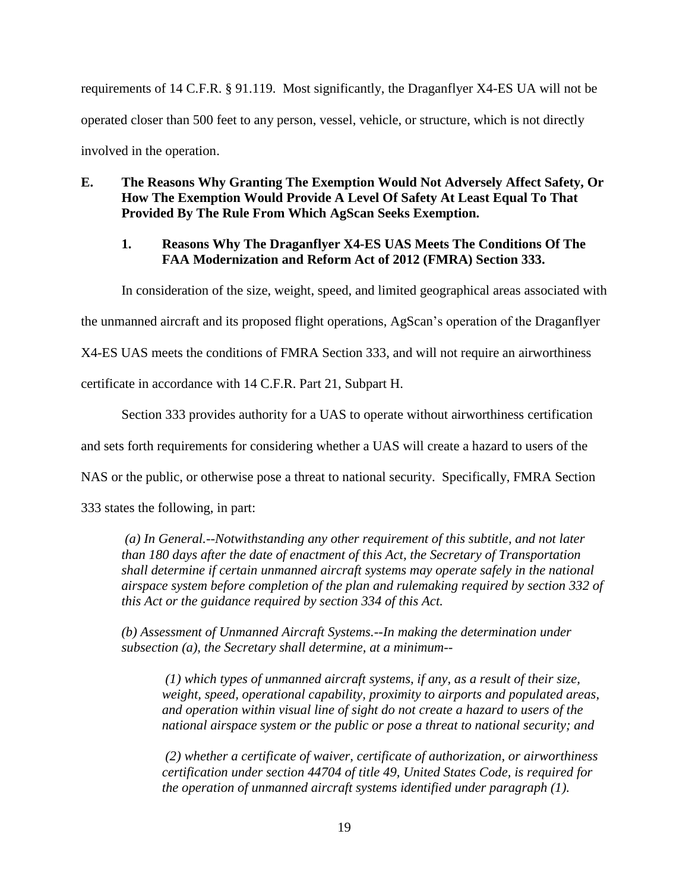requirements of 14 C.F.R. § 91.119. Most significantly, the Draganflyer X4-ES UA will not be operated closer than 500 feet to any person, vessel, vehicle, or structure, which is not directly involved in the operation.

## **E. The Reasons Why Granting The Exemption Would Not Adversely Affect Safety, Or How The Exemption Would Provide A Level Of Safety At Least Equal To That Provided By The Rule From Which AgScan Seeks Exemption.**

## **1. Reasons Why The Draganflyer X4-ES UAS Meets The Conditions Of The FAA Modernization and Reform Act of 2012 (FMRA) Section 333.**

In consideration of the size, weight, speed, and limited geographical areas associated with

the unmanned aircraft and its proposed flight operations, AgScan's operation of the Draganflyer

X4-ES UAS meets the conditions of FMRA Section 333, and will not require an airworthiness

certificate in accordance with 14 C.F.R. Part 21, Subpart H.

Section 333 provides authority for a UAS to operate without airworthiness certification

and sets forth requirements for considering whether a UAS will create a hazard to users of the

NAS or the public, or otherwise pose a threat to national security. Specifically, FMRA Section

333 states the following, in part:

*(a) In General.--Notwithstanding any other requirement of this subtitle, and not later than 180 days after the date of enactment of this Act, the Secretary of Transportation shall determine if certain unmanned aircraft systems may operate safely in the national airspace system before completion of the plan and rulemaking required by section 332 of this Act or the guidance required by section 334 of this Act.*

*(b) Assessment of Unmanned Aircraft Systems.--In making the determination under subsection (a), the Secretary shall determine, at a minimum--*

*(1) which types of unmanned aircraft systems, if any, as a result of their size, weight, speed, operational capability, proximity to airports and populated areas, and operation within visual line of sight do not create a hazard to users of the national airspace system or the public or pose a threat to national security; and*

*(2) whether a certificate of waiver, certificate of authorization, or airworthiness certification under section 44704 of title 49, United States Code, is required for the operation of unmanned aircraft systems identified under paragraph (1).*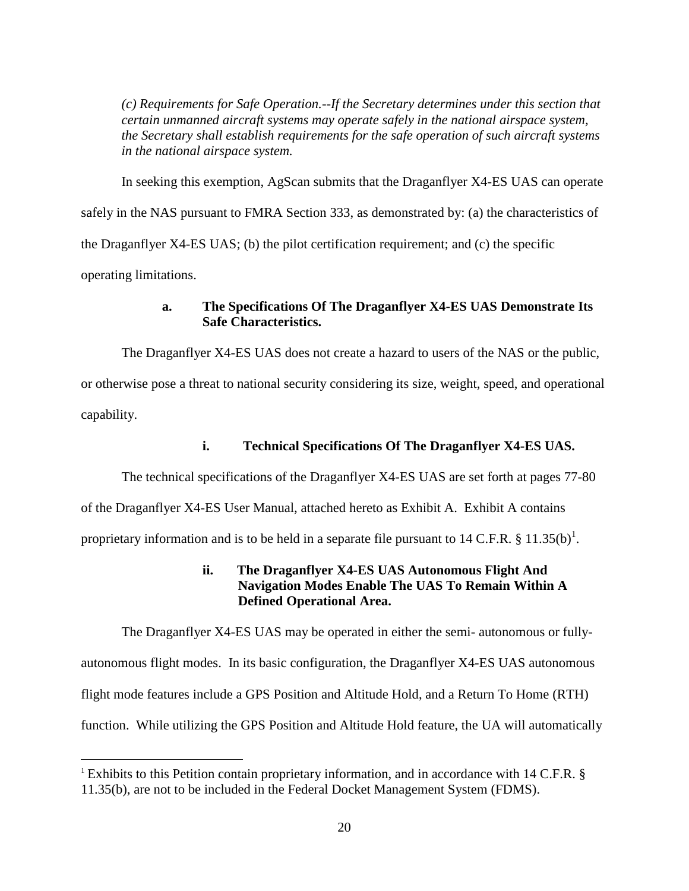*(c) Requirements for Safe Operation.--If the Secretary determines under this section that certain unmanned aircraft systems may operate safely in the national airspace system, the Secretary shall establish requirements for the safe operation of such aircraft systems in the national airspace system.*

In seeking this exemption, AgScan submits that the Draganflyer X4-ES UAS can operate safely in the NAS pursuant to FMRA Section 333, as demonstrated by: (a) the characteristics of the Draganflyer X4-ES UAS; (b) the pilot certification requirement; and (c) the specific operating limitations.

## **a. The Specifications Of The Draganflyer X4-ES UAS Demonstrate Its Safe Characteristics.**

The Draganflyer X4-ES UAS does not create a hazard to users of the NAS or the public, or otherwise pose a threat to national security considering its size, weight, speed, and operational capability.

## **i. Technical Specifications Of The Draganflyer X4-ES UAS.**

The technical specifications of the Draganflyer X4-ES UAS are set forth at pages 77-80

of the Draganflyer X4-ES User Manual, attached hereto as Exhibit A. Exhibit A contains

proprietary information and is to be held in a separate file pursuant to 14 C.F.R. § 11.35(b)<sup>1</sup>.

## **ii. The Draganflyer X4-ES UAS Autonomous Flight And Navigation Modes Enable The UAS To Remain Within A Defined Operational Area.**

The Draganflyer X4-ES UAS may be operated in either the semi- autonomous or fullyautonomous flight modes. In its basic configuration, the Draganflyer X4-ES UAS autonomous flight mode features include a GPS Position and Altitude Hold, and a Return To Home (RTH) function. While utilizing the GPS Position and Altitude Hold feature, the UA will automatically

 $\overline{a}$ 

<sup>&</sup>lt;sup>1</sup> Exhibits to this Petition contain proprietary information, and in accordance with 14 C.F.R.  $\S$ 11.35(b), are not to be included in the Federal Docket Management System (FDMS).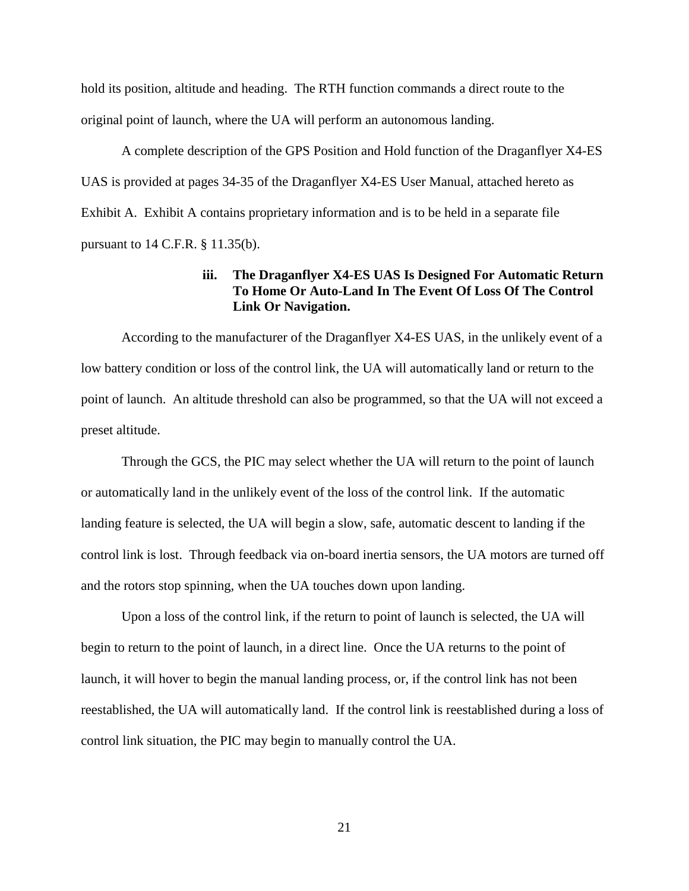hold its position, altitude and heading. The RTH function commands a direct route to the original point of launch, where the UA will perform an autonomous landing.

A complete description of the GPS Position and Hold function of the Draganflyer X4-ES UAS is provided at pages 34-35 of the Draganflyer X4-ES User Manual, attached hereto as Exhibit A. Exhibit A contains proprietary information and is to be held in a separate file pursuant to 14 C.F.R. § 11.35(b).

## **iii. The Draganflyer X4-ES UAS Is Designed For Automatic Return To Home Or Auto-Land In The Event Of Loss Of The Control Link Or Navigation.**

According to the manufacturer of the Draganflyer X4-ES UAS, in the unlikely event of a low battery condition or loss of the control link, the UA will automatically land or return to the point of launch. An altitude threshold can also be programmed, so that the UA will not exceed a preset altitude.

Through the GCS, the PIC may select whether the UA will return to the point of launch or automatically land in the unlikely event of the loss of the control link. If the automatic landing feature is selected, the UA will begin a slow, safe, automatic descent to landing if the control link is lost. Through feedback via on-board inertia sensors, the UA motors are turned off and the rotors stop spinning, when the UA touches down upon landing.

Upon a loss of the control link, if the return to point of launch is selected, the UA will begin to return to the point of launch, in a direct line. Once the UA returns to the point of launch, it will hover to begin the manual landing process, or, if the control link has not been reestablished, the UA will automatically land. If the control link is reestablished during a loss of control link situation, the PIC may begin to manually control the UA.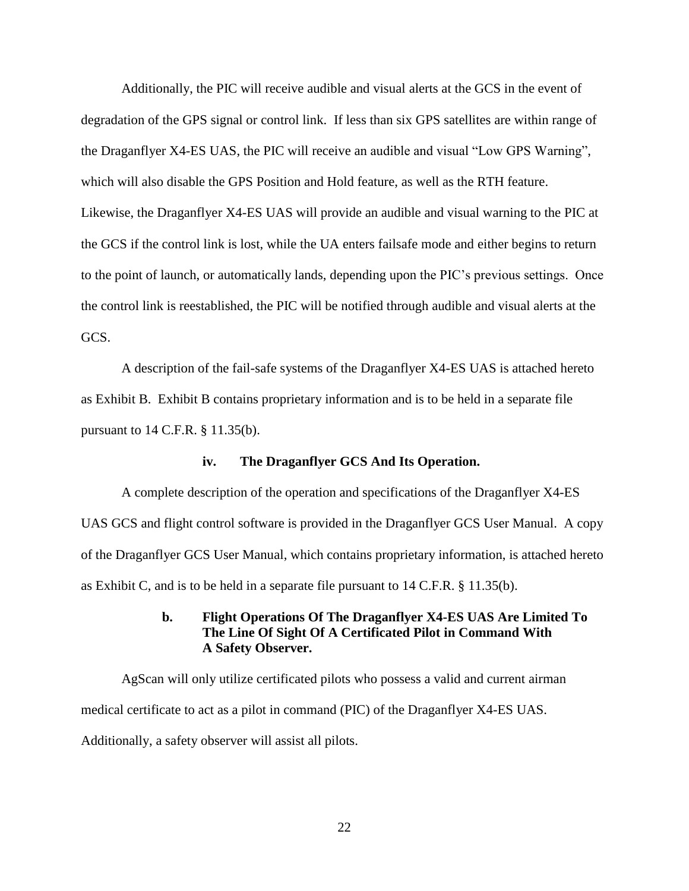Additionally, the PIC will receive audible and visual alerts at the GCS in the event of degradation of the GPS signal or control link. If less than six GPS satellites are within range of the Draganflyer X4-ES UAS, the PIC will receive an audible and visual "Low GPS Warning", which will also disable the GPS Position and Hold feature, as well as the RTH feature. Likewise, the Draganflyer X4-ES UAS will provide an audible and visual warning to the PIC at the GCS if the control link is lost, while the UA enters failsafe mode and either begins to return to the point of launch, or automatically lands, depending upon the PIC's previous settings. Once the control link is reestablished, the PIC will be notified through audible and visual alerts at the GCS.

A description of the fail-safe systems of the Draganflyer X4-ES UAS is attached hereto as Exhibit B. Exhibit B contains proprietary information and is to be held in a separate file pursuant to 14 C.F.R. § 11.35(b).

#### **iv. The Draganflyer GCS And Its Operation.**

A complete description of the operation and specifications of the Draganflyer X4-ES UAS GCS and flight control software is provided in the Draganflyer GCS User Manual. A copy of the Draganflyer GCS User Manual, which contains proprietary information, is attached hereto as Exhibit C, and is to be held in a separate file pursuant to 14 C.F.R. § 11.35(b).

## **b. Flight Operations Of The Draganflyer X4-ES UAS Are Limited To The Line Of Sight Of A Certificated Pilot in Command With A Safety Observer.**

AgScan will only utilize certificated pilots who possess a valid and current airman medical certificate to act as a pilot in command (PIC) of the Draganflyer X4-ES UAS. Additionally, a safety observer will assist all pilots.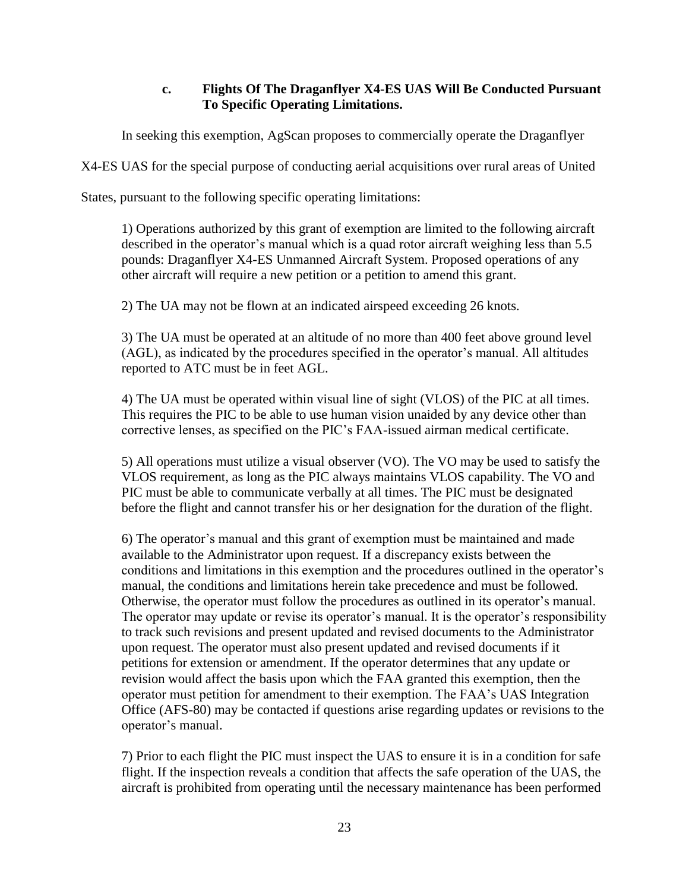## **c. Flights Of The Draganflyer X4-ES UAS Will Be Conducted Pursuant To Specific Operating Limitations.**

In seeking this exemption, AgScan proposes to commercially operate the Draganflyer

X4-ES UAS for the special purpose of conducting aerial acquisitions over rural areas of United

States, pursuant to the following specific operating limitations:

1) Operations authorized by this grant of exemption are limited to the following aircraft described in the operator's manual which is a quad rotor aircraft weighing less than 5.5 pounds: Draganflyer X4-ES Unmanned Aircraft System. Proposed operations of any other aircraft will require a new petition or a petition to amend this grant.

2) The UA may not be flown at an indicated airspeed exceeding 26 knots.

3) The UA must be operated at an altitude of no more than 400 feet above ground level (AGL), as indicated by the procedures specified in the operator's manual. All altitudes reported to ATC must be in feet AGL.

4) The UA must be operated within visual line of sight (VLOS) of the PIC at all times. This requires the PIC to be able to use human vision unaided by any device other than corrective lenses, as specified on the PIC's FAA-issued airman medical certificate.

5) All operations must utilize a visual observer (VO). The VO may be used to satisfy the VLOS requirement, as long as the PIC always maintains VLOS capability. The VO and PIC must be able to communicate verbally at all times. The PIC must be designated before the flight and cannot transfer his or her designation for the duration of the flight.

6) The operator's manual and this grant of exemption must be maintained and made available to the Administrator upon request. If a discrepancy exists between the conditions and limitations in this exemption and the procedures outlined in the operator's manual, the conditions and limitations herein take precedence and must be followed. Otherwise, the operator must follow the procedures as outlined in its operator's manual. The operator may update or revise its operator's manual. It is the operator's responsibility to track such revisions and present updated and revised documents to the Administrator upon request. The operator must also present updated and revised documents if it petitions for extension or amendment. If the operator determines that any update or revision would affect the basis upon which the FAA granted this exemption, then the operator must petition for amendment to their exemption. The FAA's UAS Integration Office (AFS-80) may be contacted if questions arise regarding updates or revisions to the operator's manual.

7) Prior to each flight the PIC must inspect the UAS to ensure it is in a condition for safe flight. If the inspection reveals a condition that affects the safe operation of the UAS, the aircraft is prohibited from operating until the necessary maintenance has been performed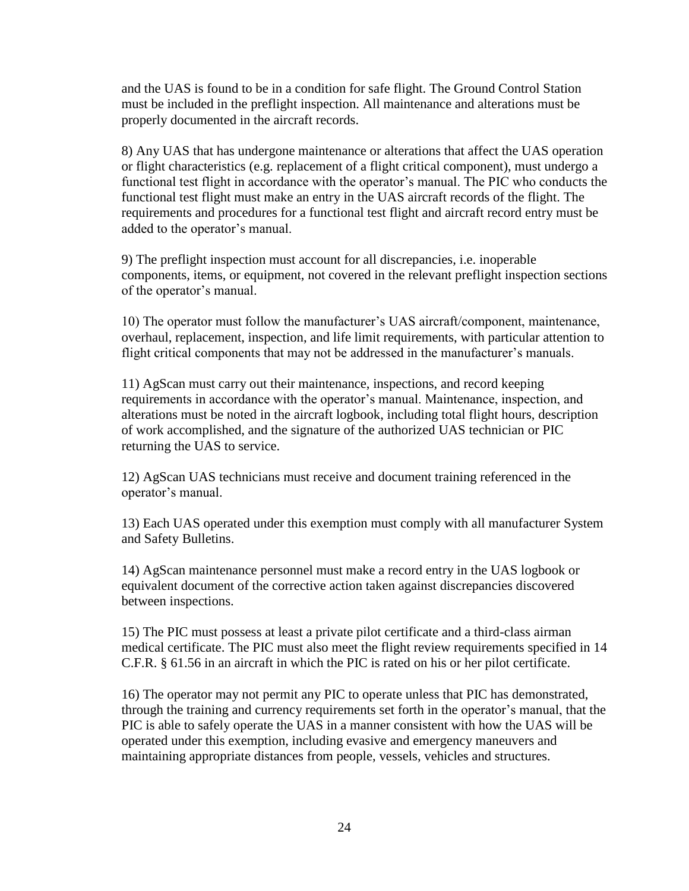and the UAS is found to be in a condition for safe flight. The Ground Control Station must be included in the preflight inspection. All maintenance and alterations must be properly documented in the aircraft records.

8) Any UAS that has undergone maintenance or alterations that affect the UAS operation or flight characteristics (e.g. replacement of a flight critical component), must undergo a functional test flight in accordance with the operator's manual. The PIC who conducts the functional test flight must make an entry in the UAS aircraft records of the flight. The requirements and procedures for a functional test flight and aircraft record entry must be added to the operator's manual.

9) The preflight inspection must account for all discrepancies, i.e. inoperable components, items, or equipment, not covered in the relevant preflight inspection sections of the operator's manual.

10) The operator must follow the manufacturer's UAS aircraft/component, maintenance, overhaul, replacement, inspection, and life limit requirements, with particular attention to flight critical components that may not be addressed in the manufacturer's manuals.

11) AgScan must carry out their maintenance, inspections, and record keeping requirements in accordance with the operator's manual. Maintenance, inspection, and alterations must be noted in the aircraft logbook, including total flight hours, description of work accomplished, and the signature of the authorized UAS technician or PIC returning the UAS to service.

12) AgScan UAS technicians must receive and document training referenced in the operator's manual.

13) Each UAS operated under this exemption must comply with all manufacturer System and Safety Bulletins.

14) AgScan maintenance personnel must make a record entry in the UAS logbook or equivalent document of the corrective action taken against discrepancies discovered between inspections.

15) The PIC must possess at least a private pilot certificate and a third-class airman medical certificate. The PIC must also meet the flight review requirements specified in 14 C.F.R. § 61.56 in an aircraft in which the PIC is rated on his or her pilot certificate.

16) The operator may not permit any PIC to operate unless that PIC has demonstrated, through the training and currency requirements set forth in the operator's manual, that the PIC is able to safely operate the UAS in a manner consistent with how the UAS will be operated under this exemption, including evasive and emergency maneuvers and maintaining appropriate distances from people, vessels, vehicles and structures.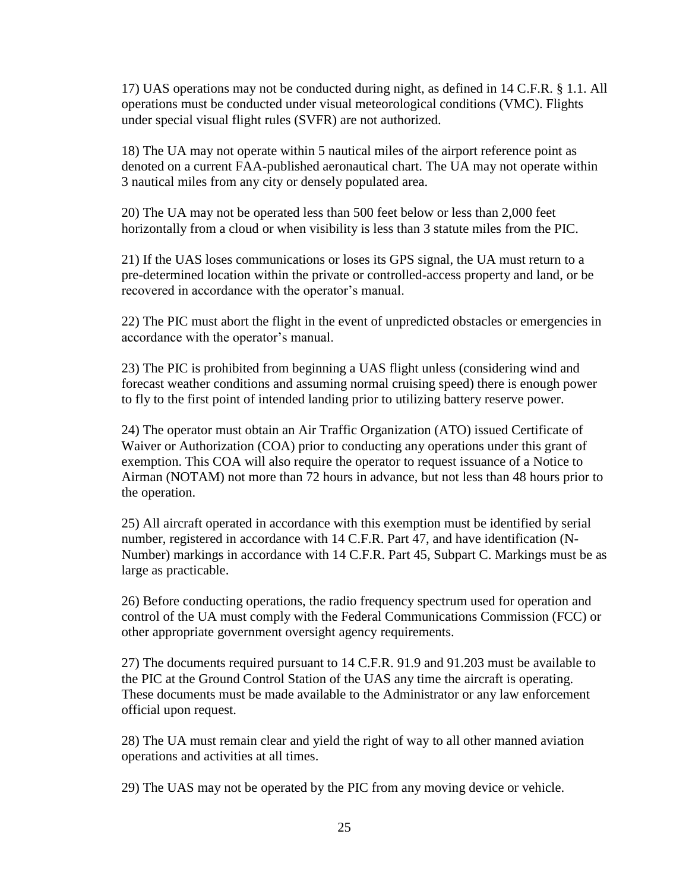17) UAS operations may not be conducted during night, as defined in 14 C.F.R. § 1.1. All operations must be conducted under visual meteorological conditions (VMC). Flights under special visual flight rules (SVFR) are not authorized.

18) The UA may not operate within 5 nautical miles of the airport reference point as denoted on a current FAA-published aeronautical chart. The UA may not operate within 3 nautical miles from any city or densely populated area.

20) The UA may not be operated less than 500 feet below or less than 2,000 feet horizontally from a cloud or when visibility is less than 3 statute miles from the PIC.

21) If the UAS loses communications or loses its GPS signal, the UA must return to a pre-determined location within the private or controlled-access property and land, or be recovered in accordance with the operator's manual.

22) The PIC must abort the flight in the event of unpredicted obstacles or emergencies in accordance with the operator's manual.

23) The PIC is prohibited from beginning a UAS flight unless (considering wind and forecast weather conditions and assuming normal cruising speed) there is enough power to fly to the first point of intended landing prior to utilizing battery reserve power.

24) The operator must obtain an Air Traffic Organization (ATO) issued Certificate of Waiver or Authorization (COA) prior to conducting any operations under this grant of exemption. This COA will also require the operator to request issuance of a Notice to Airman (NOTAM) not more than 72 hours in advance, but not less than 48 hours prior to the operation.

25) All aircraft operated in accordance with this exemption must be identified by serial number, registered in accordance with 14 C.F.R. Part 47, and have identification (N-Number) markings in accordance with 14 C.F.R. Part 45, Subpart C. Markings must be as large as practicable.

26) Before conducting operations, the radio frequency spectrum used for operation and control of the UA must comply with the Federal Communications Commission (FCC) or other appropriate government oversight agency requirements.

27) The documents required pursuant to 14 C.F.R. 91.9 and 91.203 must be available to the PIC at the Ground Control Station of the UAS any time the aircraft is operating. These documents must be made available to the Administrator or any law enforcement official upon request.

28) The UA must remain clear and yield the right of way to all other manned aviation operations and activities at all times.

29) The UAS may not be operated by the PIC from any moving device or vehicle.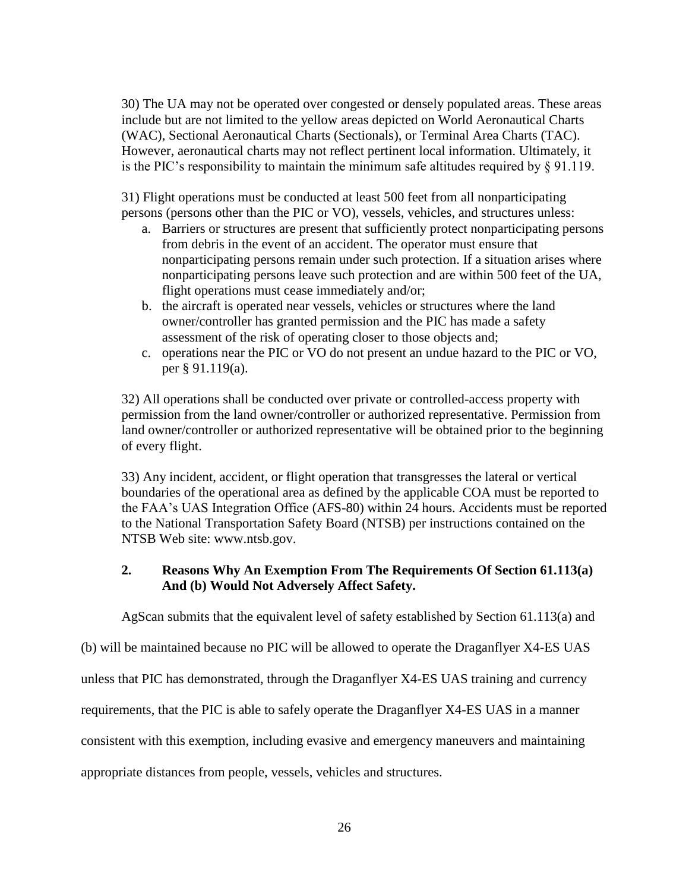30) The UA may not be operated over congested or densely populated areas. These areas include but are not limited to the yellow areas depicted on World Aeronautical Charts (WAC), Sectional Aeronautical Charts (Sectionals), or Terminal Area Charts (TAC). However, aeronautical charts may not reflect pertinent local information. Ultimately, it is the PIC's responsibility to maintain the minimum safe altitudes required by § 91.119.

31) Flight operations must be conducted at least 500 feet from all nonparticipating persons (persons other than the PIC or VO), vessels, vehicles, and structures unless:

- a. Barriers or structures are present that sufficiently protect nonparticipating persons from debris in the event of an accident. The operator must ensure that nonparticipating persons remain under such protection. If a situation arises where nonparticipating persons leave such protection and are within 500 feet of the UA, flight operations must cease immediately and/or;
- b. the aircraft is operated near vessels, vehicles or structures where the land owner/controller has granted permission and the PIC has made a safety assessment of the risk of operating closer to those objects and;
- c. operations near the PIC or VO do not present an undue hazard to the PIC or VO, per § 91.119(a).

32) All operations shall be conducted over private or controlled-access property with permission from the land owner/controller or authorized representative. Permission from land owner/controller or authorized representative will be obtained prior to the beginning of every flight.

33) Any incident, accident, or flight operation that transgresses the lateral or vertical boundaries of the operational area as defined by the applicable COA must be reported to the FAA's UAS Integration Office (AFS-80) within 24 hours. Accidents must be reported to the National Transportation Safety Board (NTSB) per instructions contained on the NTSB Web site: www.ntsb.gov.

## **2. Reasons Why An Exemption From The Requirements Of Section 61.113(a) And (b) Would Not Adversely Affect Safety.**

AgScan submits that the equivalent level of safety established by Section 61.113(a) and

(b) will be maintained because no PIC will be allowed to operate the Draganflyer X4-ES UAS

unless that PIC has demonstrated, through the Draganflyer X4-ES UAS training and currency

requirements, that the PIC is able to safely operate the Draganflyer X4-ES UAS in a manner

consistent with this exemption, including evasive and emergency maneuvers and maintaining

appropriate distances from people, vessels, vehicles and structures.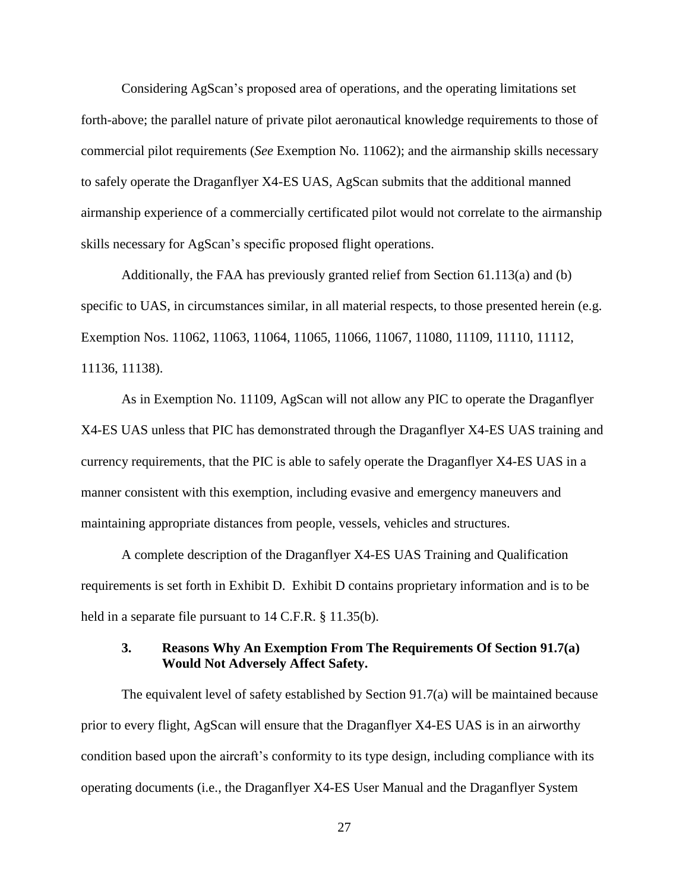Considering AgScan's proposed area of operations, and the operating limitations set forth-above; the parallel nature of private pilot aeronautical knowledge requirements to those of commercial pilot requirements (*See* Exemption No. 11062); and the airmanship skills necessary to safely operate the Draganflyer X4-ES UAS, AgScan submits that the additional manned airmanship experience of a commercially certificated pilot would not correlate to the airmanship skills necessary for AgScan's specific proposed flight operations.

Additionally, the FAA has previously granted relief from Section 61.113(a) and (b) specific to UAS, in circumstances similar, in all material respects, to those presented herein (e.g. Exemption Nos. 11062, 11063, 11064, 11065, 11066, 11067, 11080, 11109, 11110, 11112, 11136, 11138).

As in Exemption No. 11109, AgScan will not allow any PIC to operate the Draganflyer X4-ES UAS unless that PIC has demonstrated through the Draganflyer X4-ES UAS training and currency requirements, that the PIC is able to safely operate the Draganflyer X4-ES UAS in a manner consistent with this exemption, including evasive and emergency maneuvers and maintaining appropriate distances from people, vessels, vehicles and structures.

A complete description of the Draganflyer X4-ES UAS Training and Qualification requirements is set forth in Exhibit D. Exhibit D contains proprietary information and is to be held in a separate file pursuant to 14 C.F.R. § 11.35(b).

## **3. Reasons Why An Exemption From The Requirements Of Section 91.7(a) Would Not Adversely Affect Safety.**

The equivalent level of safety established by Section 91.7(a) will be maintained because prior to every flight, AgScan will ensure that the Draganflyer X4-ES UAS is in an airworthy condition based upon the aircraft's conformity to its type design, including compliance with its operating documents (i.e., the Draganflyer X4-ES User Manual and the Draganflyer System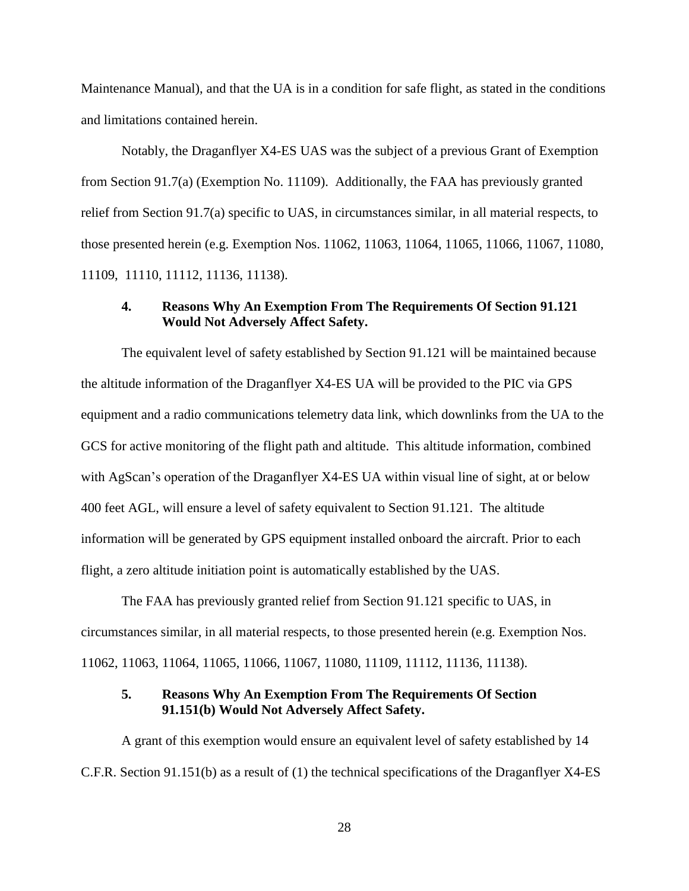Maintenance Manual), and that the UA is in a condition for safe flight, as stated in the conditions and limitations contained herein.

Notably, the Draganflyer X4-ES UAS was the subject of a previous Grant of Exemption from Section 91.7(a) (Exemption No. 11109). Additionally, the FAA has previously granted relief from Section 91.7(a) specific to UAS, in circumstances similar, in all material respects, to those presented herein (e.g. Exemption Nos. 11062, 11063, 11064, 11065, 11066, 11067, 11080, 11109, 11110, 11112, 11136, 11138).

## **4. Reasons Why An Exemption From The Requirements Of Section 91.121 Would Not Adversely Affect Safety.**

The equivalent level of safety established by Section 91.121 will be maintained because the altitude information of the Draganflyer X4-ES UA will be provided to the PIC via GPS equipment and a radio communications telemetry data link, which downlinks from the UA to the GCS for active monitoring of the flight path and altitude. This altitude information, combined with AgScan's operation of the Draganflyer X4-ES UA within visual line of sight, at or below 400 feet AGL, will ensure a level of safety equivalent to Section 91.121. The altitude information will be generated by GPS equipment installed onboard the aircraft. Prior to each flight, a zero altitude initiation point is automatically established by the UAS.

The FAA has previously granted relief from Section 91.121 specific to UAS, in circumstances similar, in all material respects, to those presented herein (e.g. Exemption Nos. 11062, 11063, 11064, 11065, 11066, 11067, 11080, 11109, 11112, 11136, 11138).

## **5. Reasons Why An Exemption From The Requirements Of Section 91.151(b) Would Not Adversely Affect Safety.**

A grant of this exemption would ensure an equivalent level of safety established by 14 C.F.R. Section 91.151(b) as a result of (1) the technical specifications of the Draganflyer X4-ES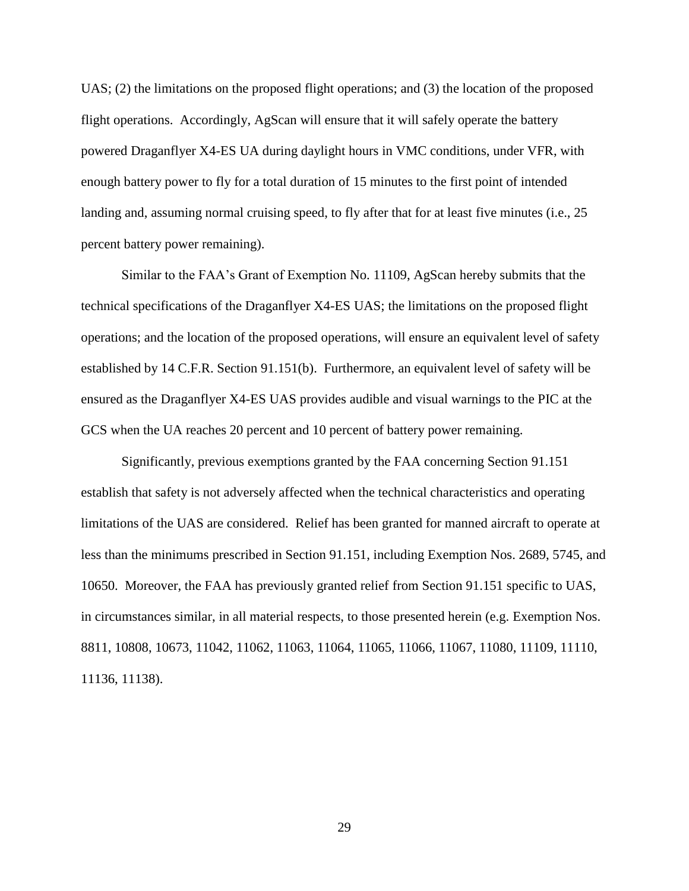UAS; (2) the limitations on the proposed flight operations; and (3) the location of the proposed flight operations. Accordingly, AgScan will ensure that it will safely operate the battery powered Draganflyer X4-ES UA during daylight hours in VMC conditions, under VFR, with enough battery power to fly for a total duration of 15 minutes to the first point of intended landing and, assuming normal cruising speed, to fly after that for at least five minutes (i.e., 25 percent battery power remaining).

Similar to the FAA's Grant of Exemption No. 11109, AgScan hereby submits that the technical specifications of the Draganflyer X4-ES UAS; the limitations on the proposed flight operations; and the location of the proposed operations, will ensure an equivalent level of safety established by 14 C.F.R. Section 91.151(b). Furthermore, an equivalent level of safety will be ensured as the Draganflyer X4-ES UAS provides audible and visual warnings to the PIC at the GCS when the UA reaches 20 percent and 10 percent of battery power remaining.

Significantly, previous exemptions granted by the FAA concerning Section 91.151 establish that safety is not adversely affected when the technical characteristics and operating limitations of the UAS are considered. Relief has been granted for manned aircraft to operate at less than the minimums prescribed in Section 91.151, including Exemption Nos. 2689, 5745, and 10650. Moreover, the FAA has previously granted relief from Section 91.151 specific to UAS, in circumstances similar, in all material respects, to those presented herein (e.g. Exemption Nos. 8811, 10808, 10673, 11042, 11062, 11063, 11064, 11065, 11066, 11067, 11080, 11109, 11110, 11136, 11138).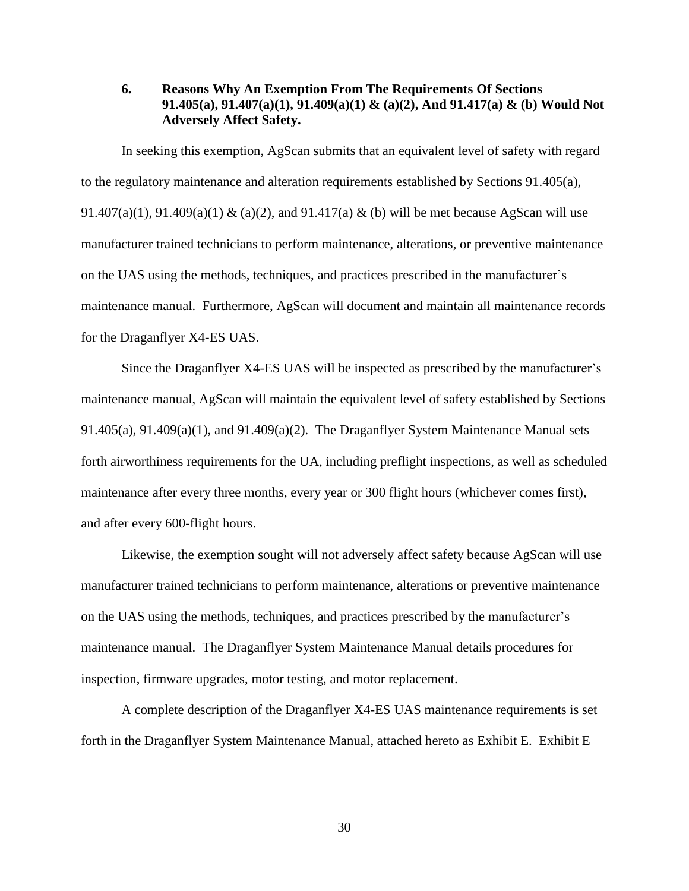## **6. Reasons Why An Exemption From The Requirements Of Sections 91.405(a), 91.407(a)(1), 91.409(a)(1) & (a)(2), And 91.417(a) & (b) Would Not Adversely Affect Safety.**

In seeking this exemption, AgScan submits that an equivalent level of safety with regard to the regulatory maintenance and alteration requirements established by Sections 91.405(a), 91.407(a)(1), 91.409(a)(1) & (a)(2), and 91.417(a) & (b) will be met because AgScan will use manufacturer trained technicians to perform maintenance, alterations, or preventive maintenance on the UAS using the methods, techniques, and practices prescribed in the manufacturer's maintenance manual. Furthermore, AgScan will document and maintain all maintenance records for the Draganflyer X4-ES UAS.

Since the Draganflyer X4-ES UAS will be inspected as prescribed by the manufacturer's maintenance manual, AgScan will maintain the equivalent level of safety established by Sections 91.405(a), 91.409(a)(1), and 91.409(a)(2). The Draganflyer System Maintenance Manual sets forth airworthiness requirements for the UA, including preflight inspections, as well as scheduled maintenance after every three months, every year or 300 flight hours (whichever comes first), and after every 600-flight hours.

Likewise, the exemption sought will not adversely affect safety because AgScan will use manufacturer trained technicians to perform maintenance, alterations or preventive maintenance on the UAS using the methods, techniques, and practices prescribed by the manufacturer's maintenance manual. The Draganflyer System Maintenance Manual details procedures for inspection, firmware upgrades, motor testing, and motor replacement.

A complete description of the Draganflyer X4-ES UAS maintenance requirements is set forth in the Draganflyer System Maintenance Manual, attached hereto as Exhibit E. Exhibit E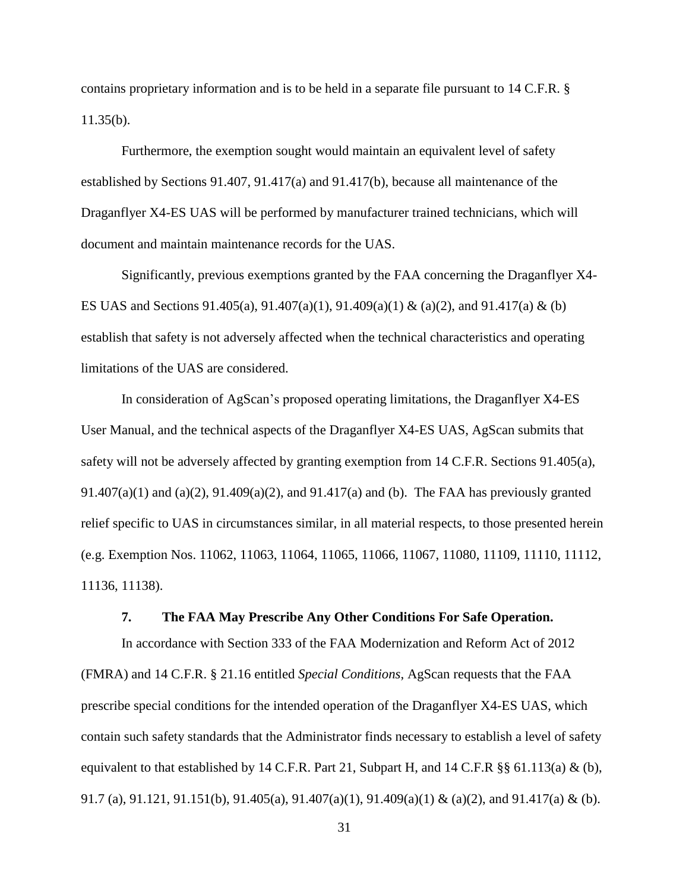contains proprietary information and is to be held in a separate file pursuant to 14 C.F.R. § 11.35(b).

Furthermore, the exemption sought would maintain an equivalent level of safety established by Sections 91.407, 91.417(a) and 91.417(b), because all maintenance of the Draganflyer X4-ES UAS will be performed by manufacturer trained technicians, which will document and maintain maintenance records for the UAS.

Significantly, previous exemptions granted by the FAA concerning the Draganflyer X4- ES UAS and Sections 91.405(a), 91.407(a)(1), 91.409(a)(1) & (a)(2), and 91.417(a) & (b) establish that safety is not adversely affected when the technical characteristics and operating limitations of the UAS are considered.

In consideration of AgScan's proposed operating limitations, the Draganflyer X4-ES User Manual, and the technical aspects of the Draganflyer X4-ES UAS, AgScan submits that safety will not be adversely affected by granting exemption from 14 C.F.R. Sections 91.405(a), 91.407(a)(1) and (a)(2), 91.409(a)(2), and 91.417(a) and (b). The FAA has previously granted relief specific to UAS in circumstances similar, in all material respects, to those presented herein (e.g. Exemption Nos. 11062, 11063, 11064, 11065, 11066, 11067, 11080, 11109, 11110, 11112, 11136, 11138).

### **7. The FAA May Prescribe Any Other Conditions For Safe Operation.**

In accordance with Section 333 of the FAA Modernization and Reform Act of 2012 (FMRA) and 14 C.F.R. § 21.16 entitled *Special Conditions*, AgScan requests that the FAA prescribe special conditions for the intended operation of the Draganflyer X4-ES UAS, which contain such safety standards that the Administrator finds necessary to establish a level of safety equivalent to that established by 14 C.F.R. Part 21, Subpart H, and 14 C.F.R §§ 61.113(a) & (b), 91.7 (a), 91.121, 91.151(b), 91.405(a), 91.407(a)(1), 91.409(a)(1) & (a)(2), and 91.417(a) & (b).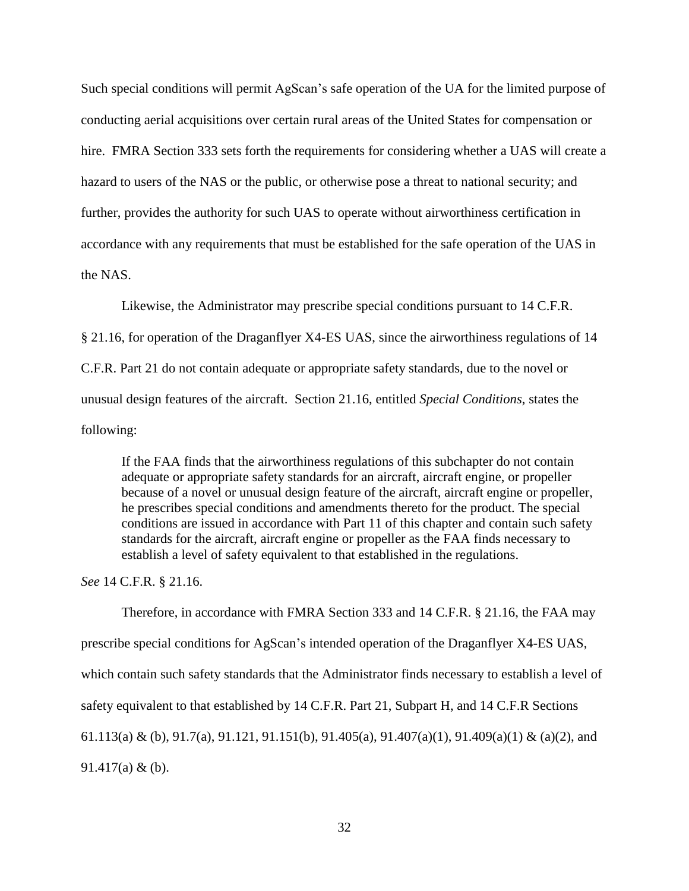Such special conditions will permit AgScan's safe operation of the UA for the limited purpose of conducting aerial acquisitions over certain rural areas of the United States for compensation or hire. FMRA Section 333 sets forth the requirements for considering whether a UAS will create a hazard to users of the NAS or the public, or otherwise pose a threat to national security; and further, provides the authority for such UAS to operate without airworthiness certification in accordance with any requirements that must be established for the safe operation of the UAS in the NAS.

Likewise, the Administrator may prescribe special conditions pursuant to 14 C.F.R. § 21.16, for operation of the Draganflyer X4-ES UAS, since the airworthiness regulations of 14 C.F.R. Part 21 do not contain adequate or appropriate safety standards, due to the novel or unusual design features of the aircraft. Section 21.16, entitled *Special Conditions*, states the following:

If the FAA finds that the airworthiness regulations of this subchapter do not contain adequate or appropriate safety standards for an aircraft, aircraft engine, or propeller because of a novel or unusual design feature of the aircraft, aircraft engine or propeller, he prescribes special conditions and amendments thereto for the product. The special conditions are issued in accordance with Part 11 of this chapter and contain such safety standards for the aircraft, aircraft engine or propeller as the FAA finds necessary to establish a level of safety equivalent to that established in the regulations.

*See* 14 C.F.R. § 21.16.

Therefore, in accordance with FMRA Section 333 and 14 C.F.R. § 21.16, the FAA may prescribe special conditions for AgScan's intended operation of the Draganflyer X4-ES UAS, which contain such safety standards that the Administrator finds necessary to establish a level of safety equivalent to that established by 14 C.F.R. Part 21, Subpart H, and 14 C.F.R Sections 61.113(a) & (b), 91.7(a), 91.121, 91.151(b), 91.405(a), 91.407(a)(1), 91.409(a)(1) & (a)(2), and 91.417(a) & (b).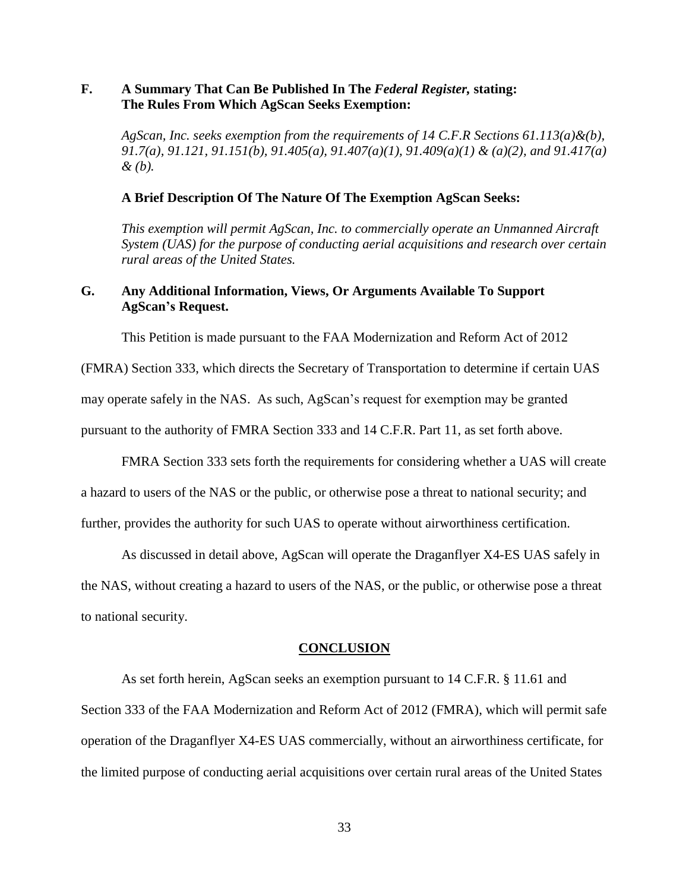## **F. A Summary That Can Be Published In The** *Federal Register,* **stating: The Rules From Which AgScan Seeks Exemption:**

*AgScan, Inc. seeks exemption from the requirements of 14 C.F.R Sections 61.113(a)&(b), 91.7(a), 91.121, 91.151(b), 91.405(a), 91.407(a)(1), 91.409(a)(1) & (a)(2), and 91.417(a) & (b).*

### **A Brief Description Of The Nature Of The Exemption AgScan Seeks:**

*This exemption will permit AgScan, Inc. to commercially operate an Unmanned Aircraft System (UAS) for the purpose of conducting aerial acquisitions and research over certain rural areas of the United States.*

## **G. Any Additional Information, Views, Or Arguments Available To Support AgScan's Request.**

This Petition is made pursuant to the FAA Modernization and Reform Act of 2012

(FMRA) Section 333, which directs the Secretary of Transportation to determine if certain UAS

may operate safely in the NAS. As such, AgScan's request for exemption may be granted

pursuant to the authority of FMRA Section 333 and 14 C.F.R. Part 11, as set forth above.

FMRA Section 333 sets forth the requirements for considering whether a UAS will create

a hazard to users of the NAS or the public, or otherwise pose a threat to national security; and

further, provides the authority for such UAS to operate without airworthiness certification.

As discussed in detail above, AgScan will operate the Draganflyer X4-ES UAS safely in

the NAS, without creating a hazard to users of the NAS, or the public, or otherwise pose a threat to national security.

#### **CONCLUSION**

As set forth herein, AgScan seeks an exemption pursuant to 14 C.F.R. § 11.61 and Section 333 of the FAA Modernization and Reform Act of 2012 (FMRA), which will permit safe operation of the Draganflyer X4-ES UAS commercially, without an airworthiness certificate, for the limited purpose of conducting aerial acquisitions over certain rural areas of the United States